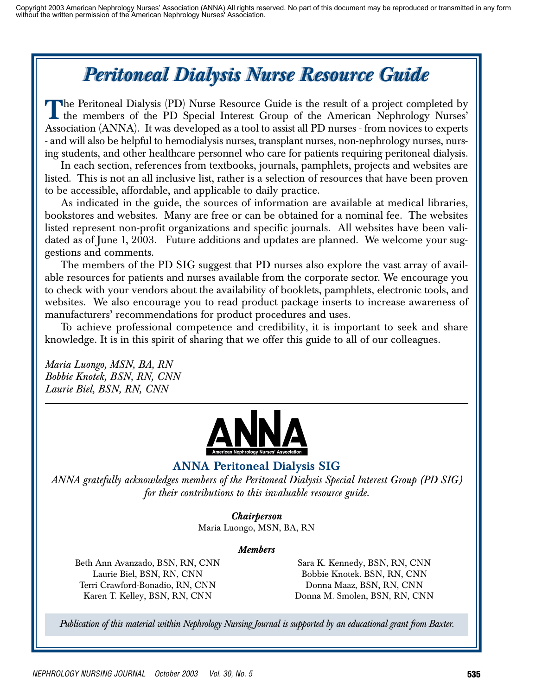# *Peritoneal Dialysis Nurse Resource Guide Peritoneal Dialysis Nurse Resource Guide*

The Peritoneal Dialysis (PD) Nurse Resource Guide is the result of a project completed by<br>the members of the PD Special Interest Group of the American Nephrology Nurses'<br>Association (ANNA). It was developed as a teal to s Association (ANNA). It was developed as a tool to assist all PD nurses - from novices to experts - and will also be helpful to hemodialysis nurses, transplant nurses, non-nephrology nurses, nursing students, and other healthcare personnel who care for patients requiring peritoneal dialysis.

In each section, references from textbooks, journals, pamphlets, projects and websites are listed. This is not an all inclusive list, rather is a selection of resources that have been proven to be accessible, affordable, and applicable to daily practice.

As indicated in the guide, the sources of information are available at medical libraries, bookstores and websites. Many are free or can be obtained for a nominal fee. The websites listed represent non-profit organizations and specific journals. All websites have been validated as of June 1, 2003. Future additions and updates are planned. We welcome your suggestions and comments.

The members of the PD SIG suggest that PD nurses also explore the vast array of available resources for patients and nurses available from the corporate sector. We encourage you to check with your vendors about the availability of booklets, pamphlets, electronic tools, and websites. We also encourage you to read product package inserts to increase awareness of manufacturers' recommendations for product procedures and uses.

To achieve professional competence and credibility, it is important to seek and share knowledge. It is in this spirit of sharing that we offer this guide to all of our colleagues.

*Maria Luongo, MSN, BA, RN Bobbie Knotek, BSN, RN, CNN Laurie Biel, BSN, RN, CNN*



## ANNA Peritoneal Dialysis SIG

*ANNA gratefully acknowledges members of the Peritoneal Dialysis Special Interest Group (PD SIG) for their contributions to this invaluable resource guide.*

### *Chairperson*

Maria Luongo, MSN, BA, RN

#### *Members*

Beth Ann Avanzado, BSN, RN, CNN Laurie Biel, BSN, RN, CNN Terri Crawford-Bonadio, RN, CNN Karen T. Kelley, BSN, RN, CNN

Sara K. Kennedy, BSN, RN, CNN Bobbie Knotek. BSN, RN, CNN Donna Maaz, BSN, RN, CNN Donna M. Smolen, BSN, RN, CNN

*Publication of this material within Nephrology Nursing Journal is supported by an educational grant from Baxter.*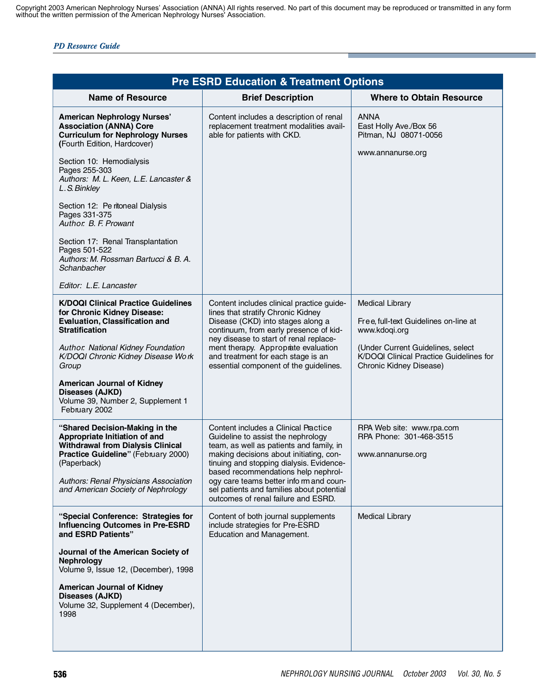| <b>Pre ESRD Education &amp; Treatment Options</b>                                                                                                                                                                                                                                                                             |                                                                                                                                                                                                                                                                                                                                 |                                                                                                                                                                                             |
|-------------------------------------------------------------------------------------------------------------------------------------------------------------------------------------------------------------------------------------------------------------------------------------------------------------------------------|---------------------------------------------------------------------------------------------------------------------------------------------------------------------------------------------------------------------------------------------------------------------------------------------------------------------------------|---------------------------------------------------------------------------------------------------------------------------------------------------------------------------------------------|
| <b>Name of Resource</b>                                                                                                                                                                                                                                                                                                       | <b>Brief Description</b>                                                                                                                                                                                                                                                                                                        | <b>Where to Obtain Resource</b>                                                                                                                                                             |
| <b>American Nephrology Nurses'</b><br><b>Association (ANNA) Core</b><br><b>Curriculum for Nephrology Nurses</b><br>(Fourth Edition, Hardcover)                                                                                                                                                                                | Content includes a description of renal<br>replacement treatment modalities avail-<br>able for patients with CKD.                                                                                                                                                                                                               | <b>ANNA</b><br>East Holly Ave./Box 56<br>Pitman, NJ 08071-0056                                                                                                                              |
| Section 10: Hemodialysis<br>Pages 255-303<br>Authors: M. L. Keen, L.E. Lancaster &<br>L.S. Binkley                                                                                                                                                                                                                            |                                                                                                                                                                                                                                                                                                                                 | www.annanurse.org                                                                                                                                                                           |
| Section 12: Pe ritoneal Dialysis<br>Pages 331-375<br>Author. B. F. Prowant                                                                                                                                                                                                                                                    |                                                                                                                                                                                                                                                                                                                                 |                                                                                                                                                                                             |
| Section 17: Renal Transplantation<br>Pages 501-522<br>Authors: M. Rossman Bartucci & B. A.<br>Schanbacher                                                                                                                                                                                                                     |                                                                                                                                                                                                                                                                                                                                 |                                                                                                                                                                                             |
| Editor: L.E. Lancaster                                                                                                                                                                                                                                                                                                        |                                                                                                                                                                                                                                                                                                                                 |                                                                                                                                                                                             |
| <b>K/DOQI Clinical Practice Guidelines</b><br>for Chronic Kidney Disease:<br><b>Evaluation, Classification and</b><br><b>Stratification</b><br>Author. National Kidney Foundation<br>K/DOQI Chronic Kidney Disease Work<br>Group<br><b>American Journal of Kidney</b><br>Diseases (AJKD)<br>Volume 39, Number 2, Supplement 1 | Content includes clinical practice guide-<br>lines that stratify Chronic Kidney<br>Disease (CKD) into stages along a<br>continuum, from early presence of kid-<br>ney disease to start of renal replace-<br>ment therapy. Approprate evaluation<br>and treatment for each stage is an<br>essential component of the guidelines. | <b>Medical Library</b><br>Free, full-text Guidelines on-line at<br>www.kdogi.org<br>(Under Current Guidelines, select<br>K/DOQI Clinical Practice Guidelines for<br>Chronic Kidney Disease) |
| February 2002<br>"Shared Decision-Making in the<br>Appropriate Initiation of and<br><b>Withdrawal from Dialysis Clinical</b><br>Practice Guideline" (February 2000)<br>(Paperback)                                                                                                                                            | Content includes a Clinical Practice<br>Guideline to assist the nephrology<br>team, as well as patients and family, in<br>making decisions about initiating, con-<br>tinuing and stopping dialysis. Evidence-<br>based recommendations help nephrol-                                                                            | RPA Web site: www.rpa.com<br>RPA Phone: 301-468-3515<br>www.annanurse.org                                                                                                                   |
| Authors: Renal Physicians Association<br>and American Society of Nephrology                                                                                                                                                                                                                                                   | ogy care teams better info rm and coun-<br>sel patients and families about potential<br>outcomes of renal failure and ESRD.                                                                                                                                                                                                     |                                                                                                                                                                                             |
| "Special Conference: Strategies for<br><b>Influencing Outcomes in Pre-ESRD</b><br>and ESRD Patients"                                                                                                                                                                                                                          | Content of both journal supplements<br>include strategies for Pre-ESRD<br>Education and Management.                                                                                                                                                                                                                             | <b>Medical Library</b>                                                                                                                                                                      |
| Journal of the American Society of<br><b>Nephrology</b><br>Volume 9, Issue 12, (December), 1998                                                                                                                                                                                                                               |                                                                                                                                                                                                                                                                                                                                 |                                                                                                                                                                                             |
| <b>American Journal of Kidney</b><br>Diseases (AJKD)<br>Volume 32, Supplement 4 (December),<br>1998                                                                                                                                                                                                                           |                                                                                                                                                                                                                                                                                                                                 |                                                                                                                                                                                             |
|                                                                                                                                                                                                                                                                                                                               |                                                                                                                                                                                                                                                                                                                                 |                                                                                                                                                                                             |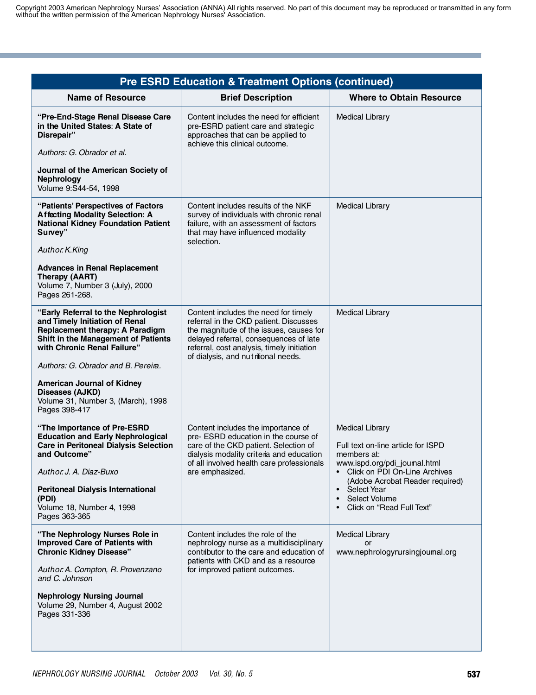| <b>Pre ESRD Education &amp; Treatment Options (continued)</b>                                                                                                                                                                                                                                                                        |                                                                                                                                                                                                                                                          |                                                                                                                                                                                                                                                             |
|--------------------------------------------------------------------------------------------------------------------------------------------------------------------------------------------------------------------------------------------------------------------------------------------------------------------------------------|----------------------------------------------------------------------------------------------------------------------------------------------------------------------------------------------------------------------------------------------------------|-------------------------------------------------------------------------------------------------------------------------------------------------------------------------------------------------------------------------------------------------------------|
| <b>Name of Resource</b>                                                                                                                                                                                                                                                                                                              | <b>Brief Description</b>                                                                                                                                                                                                                                 | <b>Where to Obtain Resource</b>                                                                                                                                                                                                                             |
| "Pre-End-Stage Renal Disease Care<br>in the United States: A State of<br>Disrepair"<br>Authors: G. Obrador et al.<br>Journal of the American Society of<br><b>Nephrology</b><br>Volume 9:S44-54, 1998                                                                                                                                | Content includes the need for efficient<br>pre-ESRD patient care and strategic<br>approaches that can be applied to<br>achieve this clinical outcome.                                                                                                    | <b>Medical Library</b>                                                                                                                                                                                                                                      |
| "Patients' Perspectives of Factors<br><b>Affecting Modality Selection: A</b><br><b>National Kidney Foundation Patient</b><br>Survey"<br>Author. K. King<br><b>Advances in Renal Replacement</b><br>Therapy (AART)<br>Volume 7, Number 3 (July), 2000<br>Pages 261-268.                                                               | Content includes results of the NKF<br>survey of individuals with chronic renal<br>failure, with an assessment of factors<br>that may have influenced modality<br>selection.                                                                             | <b>Medical Library</b>                                                                                                                                                                                                                                      |
| "Early Referral to the Nephrologist<br>and Timely Initiation of Renal<br>Replacement therapy: A Paradigm<br>Shift in the Management of Patients<br>with Chronic Renal Failure"<br>Authors: G. Obrador and B. Pereira.<br><b>American Journal of Kidney</b><br>Diseases (AJKD)<br>Volume 31, Number 3, (March), 1998<br>Pages 398-417 | Content includes the need for timely<br>referral in the CKD patient. Discusses<br>the magnitude of the issues, causes for<br>delayed referral, consequences of late<br>referral, cost analysis, timely initiation<br>of dialysis, and nutritional needs. | <b>Medical Library</b>                                                                                                                                                                                                                                      |
| "The Importance of Pre-ESRD<br><b>Education and Early Nephrological</b><br><b>Care in Peritoneal Dialysis Selection</b><br>and Outcome"<br>Author. J. A. Diaz-Buxo<br><b>Peritoneal Dialysis International</b><br>(PDI)<br>Volume 18, Number 4, 1998<br>Pages 363-365                                                                | Content includes the importance of<br>pre- ESRD education in the course of<br>care of the CKD patient. Selection of<br>dialysis modality criteria and education<br>of all involved health care professionals<br>are emphasized.                          | <b>Medical Library</b><br>Full text on-line article for ISPD<br>members at:<br>www.ispd.org/pdi_joumal.html<br>Click on PDI On-Line Archives<br>(Adobe Acrobat Reader required)<br>• Select Year<br>Select Volume<br>$\bullet$<br>Click on "Read Full Text" |
| "The Nephrology Nurses Role in<br><b>Improved Care of Patients with</b><br><b>Chronic Kidney Disease"</b><br>Author. A. Compton, R. Provenzano<br>and C. Johnson<br><b>Nephrology Nursing Journal</b><br>Volume 29, Number 4, August 2002<br>Pages 331-336                                                                           | Content includes the role of the<br>nephrology nurse as a multidisciplinary<br>contributor to the care and education of<br>patients with CKD and as a resource<br>for improved patient outcomes.                                                         | <b>Medical Library</b><br>or<br>www.nephrologynursingjoumal.org                                                                                                                                                                                             |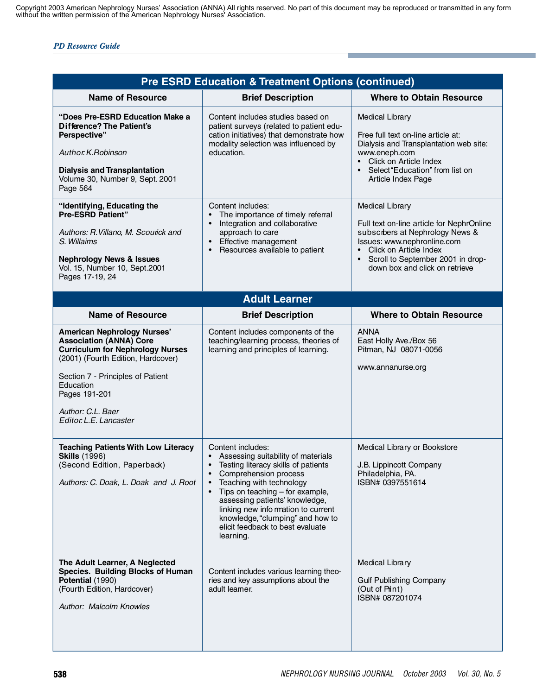|                                                                                                                                                                                                                                                                         | <b>Pre ESRD Education &amp; Treatment Options (continued)</b>                                                                                                                                                                                                                                                                                                                                                        |                                                                                                                                                                                                                                                     |
|-------------------------------------------------------------------------------------------------------------------------------------------------------------------------------------------------------------------------------------------------------------------------|----------------------------------------------------------------------------------------------------------------------------------------------------------------------------------------------------------------------------------------------------------------------------------------------------------------------------------------------------------------------------------------------------------------------|-----------------------------------------------------------------------------------------------------------------------------------------------------------------------------------------------------------------------------------------------------|
| <b>Name of Resource</b>                                                                                                                                                                                                                                                 | <b>Brief Description</b>                                                                                                                                                                                                                                                                                                                                                                                             | <b>Where to Obtain Resource</b>                                                                                                                                                                                                                     |
| "Does Pre-ESRD Education Make a<br><b>Difference? The Patient's</b><br>Perspective"<br>Author. K. Robinson<br><b>Dialysis and Transplantation</b><br>Volume 30, Number 9, Sept. 2001<br>Page 564                                                                        | Content includes studies based on<br>patient surveys (related to patient edu-<br>cation initiatives) that demonstrate how<br>modality selection was influenced by<br>education.                                                                                                                                                                                                                                      | <b>Medical Library</b><br>Free full text on-line article at:<br>Dialysis and Transplantation web site:<br>www.eneph.com<br>• Click on Article Index<br>• Select "Education" from list on<br>Article Index Page                                      |
| "Identifying, Educating the<br><b>Pre-ESRD Patient"</b><br>Authors: R. Villano, M. Scourick and<br>S. Willaims<br><b>Nephrology News &amp; Issues</b><br>Vol. 15, Number 10, Sept.2001<br>Pages 17-19, 24                                                               | Content includes:<br>The importance of timely referral<br>$\bullet$<br>Integration and collaborative<br>$\bullet$<br>approach to care<br>Effective management<br>$\bullet$<br>Resources available to patient<br>$\bullet$                                                                                                                                                                                            | <b>Medical Library</b><br>Full text on-line article for NephrOnline<br>subscibers at Nephrology News &<br>Issues: www.nephronline.com<br>Click on Article Index<br>$\bullet$<br>Scroll to September 2001 in drop-<br>down box and click on retrieve |
|                                                                                                                                                                                                                                                                         | <b>Adult Learner</b>                                                                                                                                                                                                                                                                                                                                                                                                 |                                                                                                                                                                                                                                                     |
| <b>Name of Resource</b>                                                                                                                                                                                                                                                 | <b>Brief Description</b>                                                                                                                                                                                                                                                                                                                                                                                             | <b>Where to Obtain Resource</b>                                                                                                                                                                                                                     |
| <b>American Nephrology Nurses'</b><br><b>Association (ANNA) Core</b><br><b>Curriculum for Nephrology Nurses</b><br>(2001) (Fourth Edition, Hardcover)<br>Section 7 - Principles of Patient<br>Education<br>Pages 191-201<br>Author: C.L. Baer<br>Editor. L.E. Lancaster | Content includes components of the<br>teaching/learning process, theories of<br>learning and principles of learning.                                                                                                                                                                                                                                                                                                 | <b>ANNA</b><br>East Holly Ave./Box 56<br>Pitman, NJ 08071-0056<br>www.annanurse.org                                                                                                                                                                 |
| <b>Teaching Patients With Low Literacy</b><br><b>Skills (1996)</b><br>(Second Edition, Paperback)<br>Authors: C. Doak, L. Doak and J. Root                                                                                                                              | Content includes:<br>Assessing suitability of materials<br>$\bullet$<br>Testing literacy skills of patients<br>$\bullet$<br>$\bullet$<br>Comprehension process<br>Teaching with technology<br>$\bullet$<br>Tips on teaching - for example,<br>$\bullet$<br>assessing patients' knowledge,<br>linking new info mation to current<br>knowledge, "clumping" and how to<br>elicit feedback to best evaluate<br>learning. | Medical Library or Bookstore<br>J.B. Lippincott Company<br>Philadelphia, PA.<br>ISBN# 0397551614                                                                                                                                                    |
| The Adult Learner, A Neglected<br>Species. Building Blocks of Human<br>Potential (1990)<br>(Fourth Edition, Hardcover)<br>Author: Malcolm Knowles                                                                                                                       | Content includes various learning theo-<br>ries and key assumptions about the<br>adult leamer.                                                                                                                                                                                                                                                                                                                       | <b>Medical Library</b><br><b>Gulf Publishing Company</b><br>(Out of Print)<br>ISBN# 087201074                                                                                                                                                       |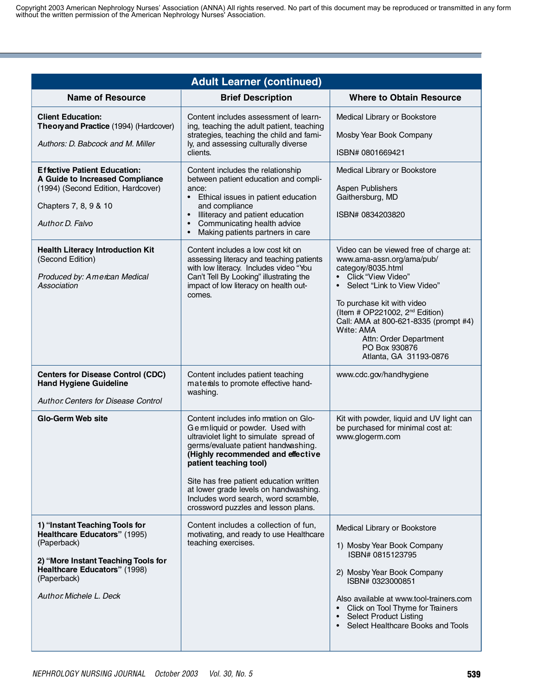| <b>Adult Learner (continued)</b>                                                                                                                                                              |                                                                                                                                                                                                                                                                                                                                                                                             |                                                                                                                                                                                                                                                                                                                                                                |
|-----------------------------------------------------------------------------------------------------------------------------------------------------------------------------------------------|---------------------------------------------------------------------------------------------------------------------------------------------------------------------------------------------------------------------------------------------------------------------------------------------------------------------------------------------------------------------------------------------|----------------------------------------------------------------------------------------------------------------------------------------------------------------------------------------------------------------------------------------------------------------------------------------------------------------------------------------------------------------|
| <b>Name of Resource</b>                                                                                                                                                                       | <b>Brief Description</b>                                                                                                                                                                                                                                                                                                                                                                    | <b>Where to Obtain Resource</b>                                                                                                                                                                                                                                                                                                                                |
| <b>Client Education:</b><br>Theory and Practice (1994) (Hardcover)<br>Authors: D. Babcock and M. Miller                                                                                       | Content includes assessment of learn-<br>ing, teaching the adult patient, teaching<br>strategies, teaching the child and fami-<br>ly, and assessing culturally diverse<br>clients.                                                                                                                                                                                                          | Medical Library or Bookstore<br>Mosby Year Book Company<br>ISBN# 0801669421                                                                                                                                                                                                                                                                                    |
| <b>Effective Patient Education:</b><br>A Guide to Increased Compliance<br>(1994) (Second Edition, Hardcover)<br>Chapters 7, 8, 9 & 10<br>Author. D. Falvo                                     | Content includes the relationship<br>between patient education and compli-<br>ance:<br>Ethical issues in patient education<br>$\bullet$<br>and compliance<br>Illiteracy and patient education<br>Communicating health advice<br>$\bullet$<br>Making patients partners in care                                                                                                               | Medical Library or Bookstore<br>Aspen Publishers<br>Gaithersburg, MD<br>ISBN# 0834203820                                                                                                                                                                                                                                                                       |
| <b>Health Literacy Introduction Kit</b><br>(Second Edition)<br>Produced by: American Medical<br>Association                                                                                   | Content includes a low cost kit on<br>assessing literacy and teaching patients<br>with low literacy. Includes video "You<br>Can't Tell By Looking" illustrating the<br>impact of low literacy on health out-<br>comes.                                                                                                                                                                      | Video can be viewed free of charge at:<br>www.ama-assn.org/ama/pub/<br>category/8035.html<br>• Click "View Video"<br>Select "Link to View Video"<br>$\bullet$<br>To purchase kit with video<br>(Item # OP221002, $2^{nd}$ Edition)<br>Call: AMA at 800-621-8335 (prompt #4)<br>Write: AMA<br>Attn: Order Department<br>PO Box 930876<br>Atlanta, GA 31193-0876 |
| <b>Centers for Disease Control (CDC)</b><br><b>Hand Hygiene Guideline</b><br>Author Centers for Disease Control                                                                               | Content includes patient teaching<br>materals to promote effective hand-<br>washing.                                                                                                                                                                                                                                                                                                        | www.cdc.gov/handhygiene                                                                                                                                                                                                                                                                                                                                        |
| <b>Glo-Germ Web site</b>                                                                                                                                                                      | Content includes info rmation on Glo-<br>Gemliquid or powder. Used with<br>ultraviolet light to simulate spread of<br>germs/evaluate patient handwashing.<br>(Highly recommended and effective<br>patient teaching tool)<br>Site has free patient education written<br>at lower grade levels on handwashing.<br>Includes word search, word scramble,<br>crossword puzzles and lesson plans. | Kit with powder, liquid and UV light can<br>be purchased for minimal cost at:<br>www.glogerm.com                                                                                                                                                                                                                                                               |
| 1) "Instant Teaching Tools for<br>Healthcare Educators" (1995)<br>(Paperback)<br>2) "More Instant Teaching Tools for<br>Healthcare Educators" (1998)<br>(Paperback)<br>Author Michele L. Deck | Content includes a collection of fun,<br>motivating, and ready to use Healthcare<br>teaching exercises.                                                                                                                                                                                                                                                                                     | Medical Library or Bookstore<br>1) Mosby Year Book Company<br>ISBN# 0815123795<br>2) Mosby Year Book Company<br>ISBN# 0323000851<br>Also available at www.tool-trainers.com<br>Click on Tool Thyme for Trainers<br>Select Product Listing<br>Select Healthcare Books and Tools<br>$\bullet$                                                                    |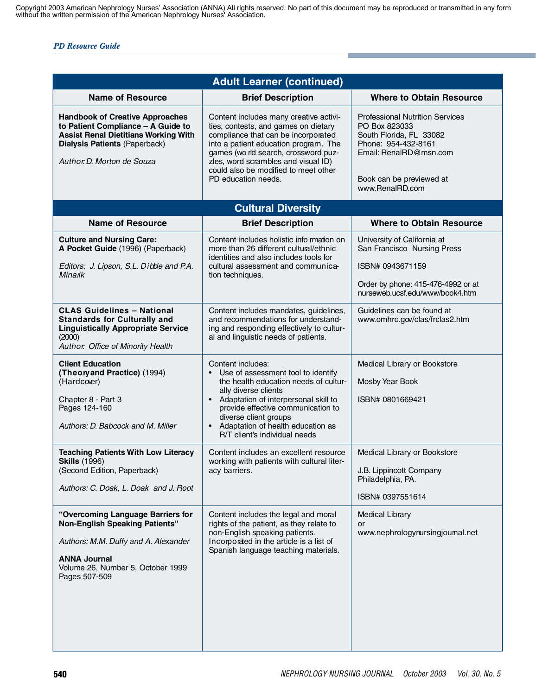|                                                                                                                                                                                                   | <b>Adult Learner (continued)</b>                                                                                                                                                                                                                                                                                       |                                                                                                                                                                                    |
|---------------------------------------------------------------------------------------------------------------------------------------------------------------------------------------------------|------------------------------------------------------------------------------------------------------------------------------------------------------------------------------------------------------------------------------------------------------------------------------------------------------------------------|------------------------------------------------------------------------------------------------------------------------------------------------------------------------------------|
| <b>Name of Resource</b>                                                                                                                                                                           | <b>Brief Description</b>                                                                                                                                                                                                                                                                                               | <b>Where to Obtain Resource</b>                                                                                                                                                    |
| <b>Handbook of Creative Approaches</b><br>to Patient Compliance - A Guide to<br><b>Assist Renal Dietitians Working With</b><br><b>Dialysis Patients (Paperback)</b><br>Author. D. Morton de Souza | Content includes many creative activi-<br>ties, contests, and games on dietary<br>compliance that can be incorporated<br>into a patient education program. The<br>games (wo rld search, crossword puz-<br>zles, word scrambles and visual ID)<br>could also be modified to meet other<br>PD education needs.           | <b>Professional Nutrition Services</b><br>PO Box 823033<br>South Florida, FL 33082<br>Phone: 954-432-8161<br>Email: RenalRD@msn.com<br>Book can be previewed at<br>www.RenalRD.com |
|                                                                                                                                                                                                   | <b>Cultural Diversity</b>                                                                                                                                                                                                                                                                                              |                                                                                                                                                                                    |
| <b>Name of Resource</b>                                                                                                                                                                           | <b>Brief Description</b>                                                                                                                                                                                                                                                                                               | <b>Where to Obtain Resource</b>                                                                                                                                                    |
| <b>Culture and Nursing Care:</b><br>A Pocket Guide (1996) (Paperback)<br>Editors: J. Lipson, S.L. Dibble and P.A.<br><b>Minark</b>                                                                | Content includes holistic info rmation on<br>more than 26 different cultural/ethnic<br>identities and also includes tools for<br>cultural assessment and communica-<br>tion techniques.                                                                                                                                | University of California at<br>San Francisco Nursing Press<br>ISBN# 0943671159<br>Order by phone: 415-476-4992 or at<br>nurseweb.ucsf.edu/www/book4.htm                            |
| <b>CLAS Guidelines - National</b><br><b>Standards for Culturally and</b><br><b>Linguistically Appropriate Service</b><br>(2000)<br>Author. Office of Minority Health                              | Content includes mandates, guidelines,<br>and recommendations for understand-<br>ing and responding effectively to cultur-<br>al and linguistic needs of patients.                                                                                                                                                     | Guidelines can be found at<br>www.omhrc.gov/clas/frclas2.htm                                                                                                                       |
| <b>Client Education</b><br>(Theory and Practice) (1994)<br>(Hardcover)<br>Chapter 8 - Part 3<br>Pages 124-160<br>Authors: D. Babcock and M. Miller                                                | Content includes:<br>• Use of assessment tool to identify<br>the health education needs of cultur-<br>ally diverse clients<br>• Adaptation of interpersonal skill to<br>provide effective communication to<br>diverse client groups<br>Adaptation of health education as<br>$\bullet$<br>R/T client's individual needs | Medical Library or Bookstore<br>Mosby Year Book<br>ISBN# 0801669421                                                                                                                |
| <b>Teaching Patients With Low Literacy</b><br><b>Skills (1996)</b><br>(Second Edition, Paperback)<br>Authors: C. Doak, L. Doak and J. Root                                                        | Content includes an excellent resource<br>working with patients with cultural liter-<br>acy barriers.                                                                                                                                                                                                                  | Medical Library or Bookstore<br>J.B. Lippincott Company<br>Philadelphia, PA.<br>ISBN# 0397551614                                                                                   |
| "Overcoming Language Barriers for<br><b>Non-English Speaking Patients"</b><br>Authors: M.M. Duffy and A. Alexander<br><b>ANNA Journal</b><br>Volume 26, Number 5, October 1999<br>Pages 507-509   | Content includes the legal and moral<br>rights of the patient, as they relate to<br>non-English speaking patients.<br>Incorporated in the article is a list of<br>Spanish language teaching materials.                                                                                                                 | <b>Medical Library</b><br>or<br>www.nephrologynursingjoumal.net                                                                                                                    |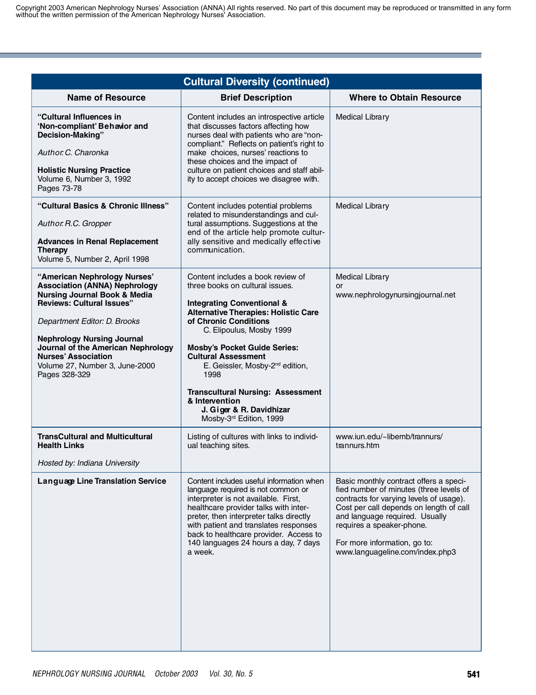| <b>Cultural Diversity (continued)</b>                                                                                                                                                                                                                                                                                                           |                                                                                                                                                                                                                                                                                                                                                                                                                                                                    |                                                                                                                                                                                                                                                                                                           |
|-------------------------------------------------------------------------------------------------------------------------------------------------------------------------------------------------------------------------------------------------------------------------------------------------------------------------------------------------|--------------------------------------------------------------------------------------------------------------------------------------------------------------------------------------------------------------------------------------------------------------------------------------------------------------------------------------------------------------------------------------------------------------------------------------------------------------------|-----------------------------------------------------------------------------------------------------------------------------------------------------------------------------------------------------------------------------------------------------------------------------------------------------------|
| <b>Name of Resource</b>                                                                                                                                                                                                                                                                                                                         | <b>Brief Description</b>                                                                                                                                                                                                                                                                                                                                                                                                                                           | <b>Where to Obtain Resource</b>                                                                                                                                                                                                                                                                           |
| "Cultural Influences in<br>'Non-compliant' Behavior and<br>Decision-Making"<br>Author C. Charonka<br><b>Holistic Nursing Practice</b><br>Volume 6, Number 3, 1992<br>Pages 73-78                                                                                                                                                                | Content includes an introspective article<br>that discusses factors affecting how<br>nurses deal with patients who are "non-<br>compliant." Reflects on patient's right to<br>make choices, nurses' reactions to<br>these choices and the impact of<br>culture on patient choices and staff abil-<br>ity to accept choices we disagree with.                                                                                                                       | <b>Medical Library</b>                                                                                                                                                                                                                                                                                    |
| "Cultural Basics & Chronic Illness"<br>Author. R.C. Gropper<br><b>Advances in Renal Replacement</b><br><b>Therapy</b><br>Volume 5, Number 2, April 1998                                                                                                                                                                                         | Content includes potential problems<br>related to misunderstandings and cul-<br>tural assumptions. Suggestions at the<br>end of the article help promote cultur-<br>ally sensitive and medically effective<br>communication.                                                                                                                                                                                                                                       | <b>Medical Library</b>                                                                                                                                                                                                                                                                                    |
| "American Nephrology Nurses"<br><b>Association (ANNA) Nephrology</b><br><b>Nursing Journal Book &amp; Media</b><br><b>Reviews: Cultural Issues"</b><br>Department Editor: D. Brooks<br><b>Nephrology Nursing Journal</b><br>Journal of the American Nephrology<br><b>Nurses' Association</b><br>Volume 27, Number 3, June-2000<br>Pages 328-329 | Content includes a book review of<br>three books on cultural issues.<br><b>Integrating Conventional &amp;</b><br><b>Alternative Therapies: Holistic Care</b><br>of Chronic Conditions<br>C. Elipoulus, Mosby 1999<br><b>Mosby's Pocket Guide Series:</b><br><b>Cultural Assessment</b><br>E. Geissler, Mosby-2 <sup>nd</sup> edition,<br>1998<br><b>Transcultural Nursing: Assessment</b><br>& Intervention<br>J. Giger & R. Davidhizar<br>Mosby-3rd Edition, 1999 | <b>Medical Library</b><br>or<br>www.nephrologynursingjournal.net                                                                                                                                                                                                                                          |
| <b>TransCultural and Multicultural</b><br><b>Health Links</b><br>Hosted by: Indiana University                                                                                                                                                                                                                                                  | Listing of cultures with links to individ-<br>ual teaching sites.                                                                                                                                                                                                                                                                                                                                                                                                  | www.iun.edu/~libemb/trannurs/<br>trannurs.htm                                                                                                                                                                                                                                                             |
| Language Line Translation Service                                                                                                                                                                                                                                                                                                               | Content includes useful information when<br>language required is not common or<br>interpreter is not available. First,<br>healthcare provider talks with inter-<br>preter, then interpreter talks directly<br>with patient and translates responses<br>back to healthcare provider. Access to<br>140 languages 24 hours a day, 7 days<br>a week.                                                                                                                   | Basic monthly contract offers a speci-<br>fied number of minutes (three levels of<br>contracts for varying levels of usage).<br>Cost per call depends on length of call<br>and language required. Usually<br>requires a speaker-phone.<br>For more information, go to:<br>www.languageline.com/index.php3 |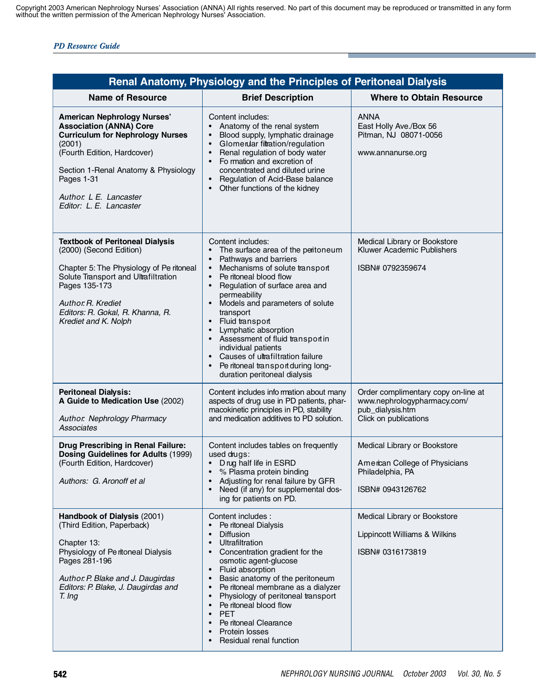|                                                                                                                                                                                                                                                                     | Renal Anatomy, Physiology and the Principles of Peritoneal Dialysis                                                                                                                                                                                                                                                                                                                                                                                                                                                |                                                                                                                 |
|---------------------------------------------------------------------------------------------------------------------------------------------------------------------------------------------------------------------------------------------------------------------|--------------------------------------------------------------------------------------------------------------------------------------------------------------------------------------------------------------------------------------------------------------------------------------------------------------------------------------------------------------------------------------------------------------------------------------------------------------------------------------------------------------------|-----------------------------------------------------------------------------------------------------------------|
| <b>Name of Resource</b>                                                                                                                                                                                                                                             | <b>Brief Description</b>                                                                                                                                                                                                                                                                                                                                                                                                                                                                                           | <b>Where to Obtain Resource</b>                                                                                 |
| <b>American Nephrology Nurses'</b><br><b>Association (ANNA) Core</b><br><b>Curriculum for Nephrology Nurses</b><br>(2001)<br>(Fourth Edition, Hardcover)<br>Section 1-Renal Anatomy & Physiology<br>Pages 1-31<br>Author. L E. Lancaster<br>Editor: L. E. Lancaster | Content includes:<br>Anatomy of the renal system<br>Blood supply, lymphatic drainage<br>$\bullet$<br>Glomenlar filtration/regulation<br>$\bullet$<br>Renal regulation of body water<br>Fo rmation and excretion of<br>concentrated and diluted urine<br>Regulation of Acid-Base balance<br>Other functions of the kidney                                                                                                                                                                                           | <b>ANNA</b><br>East Holly Ave./Box 56<br>Pitman, NJ 08071-0056<br>www.annanurse.org                             |
| <b>Textbook of Peritoneal Dialysis</b><br>(2000) (Second Edition)<br>Chapter 5: The Physiology of Pe ritoneal<br>Solute Transport and Ultrafiltration<br>Pages 135-173<br>Author. R. Krediet<br>Editors: R. Gokal, R. Khanna, R.<br>Krediet and K. Nolph            | Content includes:<br>The surface area of the peritoneum<br>Pathways and barriers<br>Mechanisms of solute transport<br>$\bullet$<br>Pe ritoneal blood flow<br>$\bullet$<br>Regulation of surface area and<br>permeability<br>Models and parameters of solute<br>transport<br>Fluid transport<br>$\bullet$<br>Lymphatic absorption<br>$\bullet$<br>Assessment of fluid transportin<br>individual patients<br>Causes of ultrafiltration failure<br>Pe ritoneal transport during long-<br>duration peritoneal dialysis | Medical Library or Bookstore<br>Kluwer Academic Publishers<br>ISBN# 0792359674                                  |
| <b>Peritoneal Dialysis:</b><br>A Guide to Medication Use (2002)<br>Author. Nephrology Pharmacy<br><b>Associates</b>                                                                                                                                                 | Content includes info mation about many<br>aspects of drug use in PD patients, phar-<br>macokinetic principles in PD, stability<br>and medication additives to PD solution.                                                                                                                                                                                                                                                                                                                                        | Order complimentary copy on-line at<br>www.nephrologypharmacy.com/<br>pub_dialysis.htm<br>Click on publications |
| <b>Drug Prescribing in Renal Failure:</b><br>Dosing Guidelines for Adults (1999)<br>(Fourth Edition, Hardcover)<br>Authors: G. Aronoff et al                                                                                                                        | Content includes tables on frequently<br>used drugs:<br>• Drug half life in ESRD<br>% Plasma protein binding<br>Adjusting for renal failure by GFR<br>Need (if any) for supplemental dos-<br>ing for patients on PD.                                                                                                                                                                                                                                                                                               | Medical Library or Bookstore<br>American College of Physicians<br>Philadelphia, PA<br>ISBN# 0943126762          |
| Handbook of Dialysis (2001)<br>(Third Edition, Paperback)<br>Chapter 13:<br>Physiology of Peritoneal Dialysis<br>Pages 281-196<br>Author. P. Blake and J. Daugirdas<br>Editors: P. Blake, J. Daugirdas and<br>T. Ing                                                | Content includes :<br>Pe ritoneal Dialysis<br><b>Diffusion</b><br>$\bullet$<br>Ultrafiltration<br>$\bullet$<br>Concentration gradient for the<br>osmotic agent-glucose<br>Fluid absorption<br>$\bullet$<br>Basic anatomy of the peritoneum<br>$\bullet$<br>Pe ritoneal membrane as a dialyzer<br>$\bullet$<br>Physiology of peritoneal transport<br>$\bullet$<br>Pe ritoneal blood flow<br><b>PET</b><br>$\bullet$<br>Pe ritoneal Clearance<br>Protein losses<br>Residual renal function                           | Medical Library or Bookstore<br>Lippincott Williams & Wilkins<br>ISBN# 0316173819                               |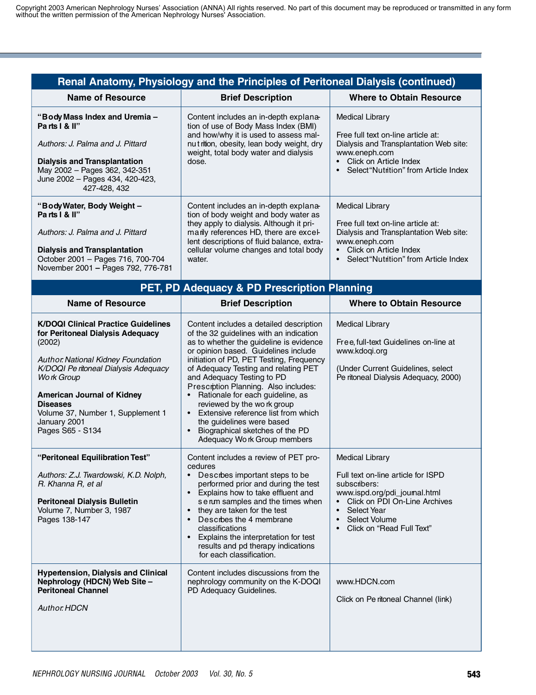|                                                                                                                                                                                                                                                                                                                             | Renal Anatomy, Physiology and the Principles of Peritoneal Dialysis (continued)                                                                                                                                                                                                                                                                                                                                                                                                                                                                      |                                                                                                                                                                                                                                                   |
|-----------------------------------------------------------------------------------------------------------------------------------------------------------------------------------------------------------------------------------------------------------------------------------------------------------------------------|------------------------------------------------------------------------------------------------------------------------------------------------------------------------------------------------------------------------------------------------------------------------------------------------------------------------------------------------------------------------------------------------------------------------------------------------------------------------------------------------------------------------------------------------------|---------------------------------------------------------------------------------------------------------------------------------------------------------------------------------------------------------------------------------------------------|
| <b>Name of Resource</b>                                                                                                                                                                                                                                                                                                     | <b>Brief Description</b>                                                                                                                                                                                                                                                                                                                                                                                                                                                                                                                             | <b>Where to Obtain Resource</b>                                                                                                                                                                                                                   |
| "Body Mass Index and Uremia -<br>Parts I & II"<br>Authors: J. Palma and J. Pittard<br><b>Dialysis and Transplantation</b><br>May 2002 - Pages 362, 342-351<br>June 2002 - Pages 434, 420-423,<br>427-428, 432                                                                                                               | Content includes an in-depth explana-<br>tion of use of Body Mass Index (BMI)<br>and how/why it is used to assess mal-<br>nut rition, obesity, lean body weight, dry<br>weight, total body water and dialysis<br>dose.                                                                                                                                                                                                                                                                                                                               | <b>Medical Library</b><br>Free full text on-line article at:<br>Dialysis and Transplantation Web site:<br>www.eneph.com<br>Click on Article Index<br>$\bullet$<br>Select "Nutrition" from Article Index                                           |
| "Body Water, Body Weight -<br>Parts I & II"<br>Authors: J. Palma and J. Pittard<br><b>Dialysis and Transplantation</b><br>October 2001 - Pages 716, 700-704<br>November 2001 - Pages 792, 776-781                                                                                                                           | Content includes an in-depth explana-<br>tion of body weight and body water as<br>they apply to dialysis. Although it pri-<br>manly references HD, there are excel-<br>lent descriptions of fluid balance, extra-<br>cellular volume changes and total body<br>water.                                                                                                                                                                                                                                                                                | <b>Medical Library</b><br>Free full text on-line article at:<br>Dialysis and Transplantation Web site:<br>www.eneph.com<br>• Click on Article Index<br>Select "Nutrition" from Article Index<br>$\bullet$                                         |
|                                                                                                                                                                                                                                                                                                                             | PET, PD Adequacy & PD Prescription Planning                                                                                                                                                                                                                                                                                                                                                                                                                                                                                                          |                                                                                                                                                                                                                                                   |
| <b>Name of Resource</b>                                                                                                                                                                                                                                                                                                     | <b>Brief Description</b>                                                                                                                                                                                                                                                                                                                                                                                                                                                                                                                             | <b>Where to Obtain Resource</b>                                                                                                                                                                                                                   |
| <b>K/DOQI Clinical Practice Guidelines</b><br>for Peritoneal Dialysis Adequacy<br>(2002)<br><b>Author National Kidney Foundation</b><br>K/DOQI Pe ritoneal Dialysis Adequacy<br>Work Group<br><b>American Journal of Kidney</b><br><b>Diseases</b><br>Volume 37, Number 1, Supplement 1<br>January 2001<br>Pages S65 - S134 | Content includes a detailed description<br>of the 32 guidelines with an indication<br>as to whether the guideline is evidence<br>or opinion based. Guidelines include<br>initiation of PD, PET Testing, Frequency<br>of Adequacy Testing and relating PET<br>and Adequacy Testing to PD<br>Prescrption Planning. Also includes:<br>Rationale for each guideline, as<br>reviewed by the work group<br>Extensive reference list from which<br>$\bullet$<br>the guidelines were based<br>Biographical sketches of the PD<br>Adequacy Work Group members | <b>Medical Library</b><br>Free, full-text Guidelines on-line at<br>www.kdogi.org<br>(Under Current Guidelines, select<br>Pe ritoneal Dialysis Adequacy, 2000)                                                                                     |
| "Peritoneal Equilibration Test"<br>Authors: Z.J. Twardowski, K.D. Nolph,<br>R. Khanna R, et al<br><b>Peritoneal Dialysis Bulletin</b><br>Volume 7, Number 3, 1987<br>Pages 138-147                                                                                                                                          | Content includes a review of PET pro-<br>cedures<br>Descrbes important steps to be<br>performed prior and during the test<br>• Explains how to take effluent and<br>se rum samples and the times when<br>they are taken for the test<br>Descrbes the 4 membrane<br>$\bullet$<br>classifications<br>Explains the interpretation for test<br>results and pd therapy indications<br>for each classification.                                                                                                                                            | <b>Medical Library</b><br>Full text on-line article for ISPD<br>subscribers:<br>www.ispd.org/pdi_joumal.html<br>Click on PDI On-Line Archives<br>Select Year<br>$\bullet$<br>Select Volume<br>$\bullet$<br>Click on "Read Full Text"<br>$\bullet$ |
| <b>Hypertension, Dialysis and Clinical</b><br>Nephrology (HDCN) Web Site -<br><b>Peritoneal Channel</b><br><b>Author. HDCN</b>                                                                                                                                                                                              | Content includes discussions from the<br>nephrology community on the K-DOQI<br>PD Adequacy Guidelines.                                                                                                                                                                                                                                                                                                                                                                                                                                               | www.HDCN.com<br>Click on Pe ritoneal Channel (link)                                                                                                                                                                                               |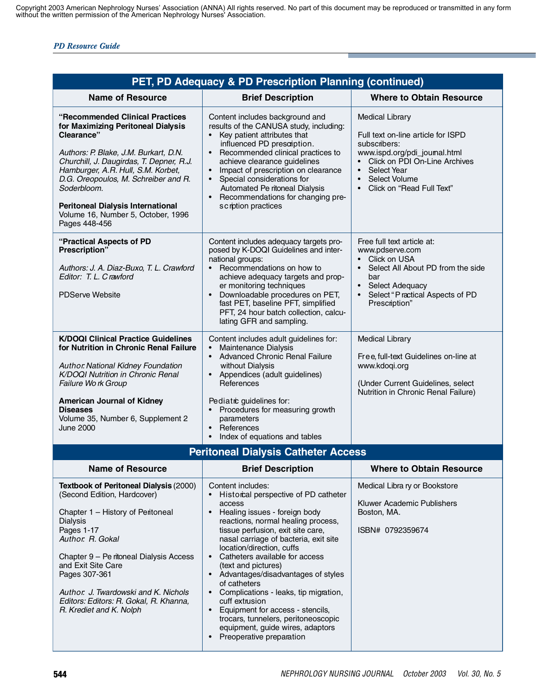|                                                                                                                                                                                                                                                                                                                                                                           | PET, PD Adequacy & PD Prescription Planning (continued)                                                                                                                                                                                                                                                                                                                                                                                                                                                                                                                                    |                                                                                                                                                                                                                                               |
|---------------------------------------------------------------------------------------------------------------------------------------------------------------------------------------------------------------------------------------------------------------------------------------------------------------------------------------------------------------------------|--------------------------------------------------------------------------------------------------------------------------------------------------------------------------------------------------------------------------------------------------------------------------------------------------------------------------------------------------------------------------------------------------------------------------------------------------------------------------------------------------------------------------------------------------------------------------------------------|-----------------------------------------------------------------------------------------------------------------------------------------------------------------------------------------------------------------------------------------------|
| <b>Name of Resource</b>                                                                                                                                                                                                                                                                                                                                                   | <b>Brief Description</b>                                                                                                                                                                                                                                                                                                                                                                                                                                                                                                                                                                   | <b>Where to Obtain Resource</b>                                                                                                                                                                                                               |
| "Recommended Clinical Practices"<br>for Maximizing Peritoneal Dialysis<br>Clearance"<br>Authors: P. Blake, J.M. Burkart, D.N.<br>Churchill, J. Daugirdas, T. Depner, R.J.<br>Hamburger, A.R. Hull, S.M. Korbet,<br>D.G. Oreopoulos, M. Schreiber and R.<br>Soderbloom.<br><b>Peritoneal Dialysis International</b><br>Volume 16, Number 5, October, 1996<br>Pages 448-456 | Content includes background and<br>results of the CANUSA study, including:<br>Key patient attributes that<br>influenced PD presaiption.<br>Recommended clinical practices to<br>achieve clearance guidelines<br>Impact of prescription on clearance<br>$\bullet$<br>Special considerations for<br>Automated Pe ritoneal Dialysis<br>Recommendations for changing pre-<br>$\bullet$<br>scription practices                                                                                                                                                                                  | <b>Medical Library</b><br>Full text on-line article for ISPD<br>subscribers:<br>www.ispd.org/pdi_joumal.html<br>Click on PDI On-Line Archives<br>Select Year<br>$\bullet$<br><b>Select Volume</b><br>$\bullet$<br>• Click on "Read Full Text" |
| "Practical Aspects of PD<br>Prescription"<br>Authors: J. A. Diaz-Buxo, T. L. Crawford<br>Editor: T. L. Crawford<br><b>PDServe Website</b>                                                                                                                                                                                                                                 | Content includes adequacy targets pro-<br>posed by K-DOQI Guidelines and inter-<br>national groups:<br>Recommendations on how to<br>achieve adequacy targets and prop-<br>er monitoring techniques<br>Downloadable procedures on PET,<br>fast PET, baseline PFT, simplified<br>PFT, 24 hour batch collection, calcu-<br>lating GFR and sampling.                                                                                                                                                                                                                                           | Free full text article at:<br>www.pdserve.com<br>• Click on USA<br>Select All About PD from the side<br>$\bullet$<br>bar<br>• Select Adequacy<br>Select "Practical Aspects of PD<br>$\bullet$<br>Prescription"                                |
| <b>K/DOQI Clinical Practice Guidelines</b><br>for Nutrition in Chronic Renal Failure<br>Author. National Kidney Foundation<br>K/DOQI Nutrition in Chronic Renal<br>Failure Work Group<br><b>American Journal of Kidney</b><br><b>Diseases</b><br>Volume 35, Number 6, Supplement 2<br><b>June 2000</b>                                                                    | Content includes adult guidelines for:<br>Maintenance Dialysis<br>$\bullet$<br><b>Advanced Chronic Renal Failure</b><br>$\bullet$<br>without Dialysis<br>Appendices (adult guidelines)<br>References<br>Pediatrc guidelines for:<br>Procedures for measuring growth<br>parameters<br>References<br>$\bullet$<br>Index of equations and tables<br>$\bullet$                                                                                                                                                                                                                                 | <b>Medical Library</b><br>Free, full-text Guidelines on-line at<br>www.kdogi.org<br>(Under Current Guidelines, select<br>Nutrition in Chronic Renal Failure)                                                                                  |
|                                                                                                                                                                                                                                                                                                                                                                           | <b>Peritoneal Dialysis Catheter Access</b>                                                                                                                                                                                                                                                                                                                                                                                                                                                                                                                                                 |                                                                                                                                                                                                                                               |
| <b>Name of Resource</b>                                                                                                                                                                                                                                                                                                                                                   | <b>Brief Description</b>                                                                                                                                                                                                                                                                                                                                                                                                                                                                                                                                                                   | Where to Obtain Resource                                                                                                                                                                                                                      |
| Textbook of Peritoneal Dialysis (2000)<br>(Second Edition, Hardcover)<br>Chapter 1 - History of Peritoneal<br><b>Dialysis</b><br>Pages 1-17<br>Author. R. Gokal<br>Chapter 9 - Pe ritoneal Dialysis Access<br>and Exit Site Care<br>Pages 307-361<br>Author. J. Twardowski and K. Nichols<br>Editors: Editors: R. Gokal, R. Khanna,<br>R. Krediet and K. Nolph            | Content includes:<br>Historical perspective of PD catheter<br>access<br>Healing issues - foreign body<br>$\bullet$<br>reactions, normal healing process,<br>tissue perfusion, exit site care,<br>nasal carriage of bacteria, exit site<br>location/direction, cuffs<br>Catheters available for access<br>(text and pictures)<br>• Advantages/disadvantages of styles<br>of catheters<br>Complications - leaks, tip migration,<br>cuff extrusion<br>Equipment for access - stencils,<br>trocars, tunnelers, peritoneoscopic<br>equipment, guide wires, adaptors<br>Preoperative preparation | Medical Libra ry or Bookstore<br>Kluwer Academic Publishers<br>Boston, MA.<br>ISBN# 0792359674                                                                                                                                                |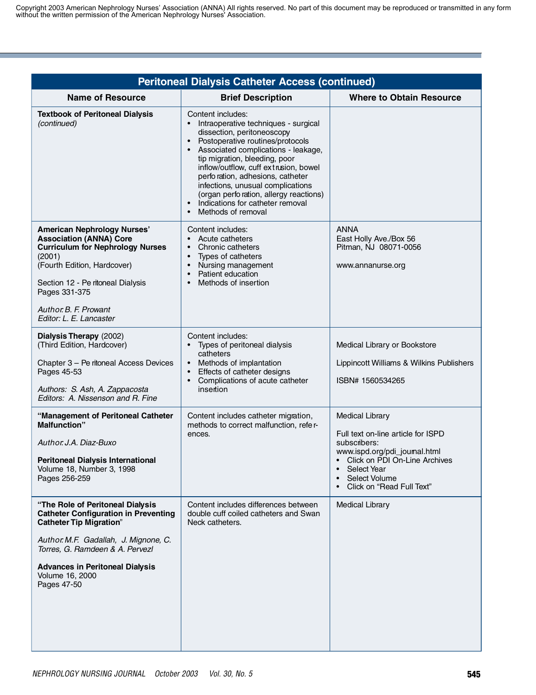| <b>Peritoneal Dialysis Catheter Access (continued)</b>                                                                                                                                                                                                                    |                                                                                                                                                                                                                                                                                                                                                                                                                                                                   |                                                                                                                                                                                                              |
|---------------------------------------------------------------------------------------------------------------------------------------------------------------------------------------------------------------------------------------------------------------------------|-------------------------------------------------------------------------------------------------------------------------------------------------------------------------------------------------------------------------------------------------------------------------------------------------------------------------------------------------------------------------------------------------------------------------------------------------------------------|--------------------------------------------------------------------------------------------------------------------------------------------------------------------------------------------------------------|
| <b>Name of Resource</b>                                                                                                                                                                                                                                                   | <b>Brief Description</b>                                                                                                                                                                                                                                                                                                                                                                                                                                          | <b>Where to Obtain Resource</b>                                                                                                                                                                              |
| <b>Textbook of Peritoneal Dialysis</b><br>(continued)                                                                                                                                                                                                                     | Content includes:<br>Intraoperative techniques - surgical<br>$\bullet$<br>dissection, peritoneoscopy<br>Postoperative routines/protocols<br>$\bullet$<br>Associated complications - leakage,<br>tip migration, bleeding, poor<br>inflow/outflow, cuff extrusion, bowel<br>perfo ration, adhesions, catheter<br>infections, unusual complications<br>(organ perforation, allergy reactions)<br>Indications for catheter removal<br>$\bullet$<br>Methods of removal |                                                                                                                                                                                                              |
| American Nephrology Nurses'<br><b>Association (ANNA) Core</b><br><b>Curriculum for Nephrology Nurses</b><br>(2001)<br>(Fourth Edition, Hardcover)<br>Section 12 - Pe ritoneal Dialysis<br>Pages 331-375<br>Author, B. F. Prowant<br>Editor: L. E. Lancaster               | Content includes:<br>Acute catheters<br>Chronic catheters<br>$\bullet$<br>Types of catheters<br>Nursing management<br>Patient education<br>$\bullet$<br>Methods of insertion<br>$\bullet$                                                                                                                                                                                                                                                                         | <b>ANNA</b><br>East Holly Ave./Box 56<br>Pitman, NJ 08071-0056<br>www.annanurse.org                                                                                                                          |
| Dialysis Therapy (2002)<br>(Third Edition, Hardcover)<br>Chapter 3 - Pe ritoneal Access Devices<br>Pages 45-53<br>Authors: S. Ash, A. Zappacosta<br>Editors: A. Nissenson and R. Fine                                                                                     | Content includes:<br>Types of peritoneal dialysis<br>catheters<br>Methods of implantation<br>$\bullet$<br>Effects of catheter designs<br>Complications of acute catheter<br>$\bullet$<br>insertion                                                                                                                                                                                                                                                                | Medical Library or Bookstore<br>Lippincott Williams & Wilkins Publishers<br>ISBN# 1560534265                                                                                                                 |
| "Management of Peritoneal Catheter<br><b>Malfunction"</b><br>Author, J.A. Diaz-Buxo<br><b>Peritoneal Dialysis International</b><br>Volume 18, Number 3, 1998<br>Pages 256-259                                                                                             | Content includes catheter migration,<br>methods to correct malfunction, refer-<br>ences.                                                                                                                                                                                                                                                                                                                                                                          | <b>Medical Library</b><br>Full text on-line article for ISPD<br>subscribers:<br>www.ispd.org/pdi_joumal.html<br>• Click on PDI On-Line Archives<br>Select Year<br>Select Volume<br>Click on "Read Full Text" |
| "The Role of Peritoneal Dialysis<br><b>Catheter Configuration in Preventing</b><br><b>Catheter Tip Migration"</b><br>Author. M.F. Gadallah, J. Mignone, C.<br>Torres, G. Ramdeen & A. Pervezl<br><b>Advances in Peritoneal Dialysis</b><br>Volume 16, 2000<br>Pages 47-50 | Content includes differences between<br>double cuff coiled catheters and Swan<br>Neck catheters.                                                                                                                                                                                                                                                                                                                                                                  | <b>Medical Library</b>                                                                                                                                                                                       |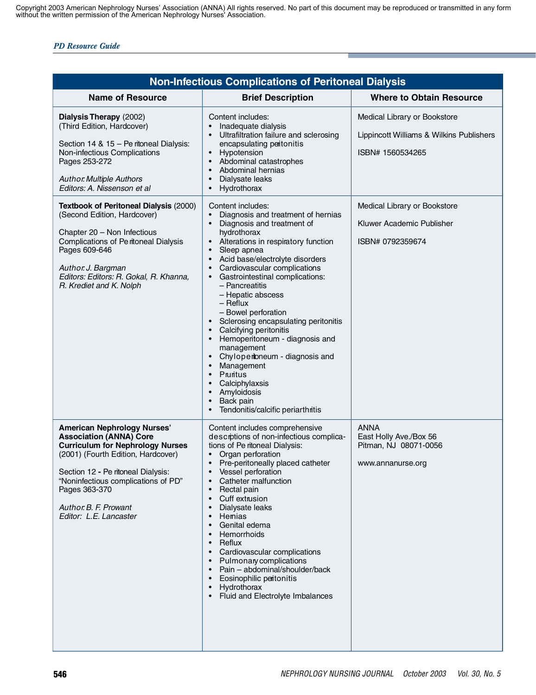| <b>Non-Infectious Complications of Peritoneal Dialysis</b>                                                                                                                                                                                                                                                                                                                                                                                                                      |                                                                                                                                                                                                                                                                                                                                                                                                                                                                                                                                                                                                                                                                                                                                                                                                                                                                                                               |                                                                                                                                                                               |
|---------------------------------------------------------------------------------------------------------------------------------------------------------------------------------------------------------------------------------------------------------------------------------------------------------------------------------------------------------------------------------------------------------------------------------------------------------------------------------|---------------------------------------------------------------------------------------------------------------------------------------------------------------------------------------------------------------------------------------------------------------------------------------------------------------------------------------------------------------------------------------------------------------------------------------------------------------------------------------------------------------------------------------------------------------------------------------------------------------------------------------------------------------------------------------------------------------------------------------------------------------------------------------------------------------------------------------------------------------------------------------------------------------|-------------------------------------------------------------------------------------------------------------------------------------------------------------------------------|
| <b>Name of Resource</b>                                                                                                                                                                                                                                                                                                                                                                                                                                                         | <b>Brief Description</b>                                                                                                                                                                                                                                                                                                                                                                                                                                                                                                                                                                                                                                                                                                                                                                                                                                                                                      | <b>Where to Obtain Resource</b>                                                                                                                                               |
| Dialysis Therapy (2002)<br>(Third Edition, Hardcover)<br>Section 14 & 15 - Pe ritoneal Dialysis:<br>Non-infectious Complications<br>Pages 253-272<br><b>Author. Multiple Authors</b><br>Editors: A. Nissenson et al<br>Textbook of Peritoneal Dialysis (2000)<br>(Second Edition, Hardcover)<br>Chapter 20 - Non Infectious<br>Complications of Peritoneal Dialysis<br>Pages 609-646<br>Author. J. Bargman<br>Editors: Editors: R. Gokal, R. Khanna,<br>R. Krediet and K. Nolph | Content includes:<br>Inadequate dialysis<br>Ultrafiltration failure and sclerosing<br>encapsulating peitonitis<br>Hypotension<br>$\bullet$<br>Abdominal catastrophes<br>$\bullet$<br>Abdominal hernias<br>$\bullet$<br>Dialysate leaks<br>$\bullet$<br>Hydrothorax<br>$\bullet$<br>Content includes:<br>Diagnosis and treatment of hernias<br>$\bullet$<br>Diagnosis and treatment of<br>$\bullet$<br>hydrothorax<br>Alterations in respiratory function<br>$\bullet$<br>Sleep apnea<br>$\bullet$<br>Acid base/electrolyte disorders<br>$\bullet$<br>Cardiovascular complications<br>Gastrointestinal complications:<br>$\bullet$<br>- Pancreatitis<br>- Hepatic abscess<br>$-$ Reflux<br>- Bowel perforation<br>Sclerosing encapsulating peritonitis<br>Calcifying peritonitis<br>$\bullet$<br>Hemoperitoneum - diagnosis and                                                                                | Medical Library or Bookstore<br>Lippincott Williams & Wilkins Publishers<br>ISBN# 1560534265<br>Medical Library or Bookstore<br>Kluwer Academic Publisher<br>ISBN# 0792359674 |
| <b>American Nephrology Nurses'</b><br><b>Association (ANNA) Core</b><br><b>Curriculum for Nephrology Nurses</b><br>(2001) (Fourth Edition, Hardcover)<br>Section 12 - Pe ritoneal Dialysis:<br>"Noninfectious complications of PD"<br>Pages 363-370<br>Author. B. F. Prowant<br>Editor: L.E. Lancaster                                                                                                                                                                          | management<br>Chylopentoneum - diagnosis and<br>$\bullet$<br>Management<br>Pruritus<br>$\bullet$<br>Calciphylaxsis<br>$\bullet$<br>Amyloidosis<br>Back pain<br>Tendonitis/calcific periarthritis<br>$\bullet$<br>Content includes comprehensive<br>descrptions of non-infectious complica-<br>tions of Pe ritoneal Dialysis:<br>Organ perforation<br>Pre-peritoneally placed catheter<br>$\bullet$<br>Vessel perforation<br>Catheter malfunction<br>$\bullet$<br>Rectal pain<br>$\bullet$<br>Cuff extrusion<br>$\bullet$<br>Dialysate leaks<br>$\bullet$<br>Hemias<br>$\bullet$<br>Genital edema<br>$\bullet$<br>Hemorrhoids<br>$\bullet$<br>Reflux<br>$\bullet$<br>Cardiovascular complications<br>$\bullet$<br>Pulmonary complications<br>$\bullet$<br>Pain - abdominal/shoulder/back<br>$\bullet$<br>Eosinophilic peritonitis<br>Hydrothorax<br>$\bullet$<br>Fluid and Electrolyte Imbalances<br>$\bullet$ | <b>ANNA</b><br>East Holly Ave./Box 56<br>Pitman, NJ 08071-0056<br>www.annanurse.org                                                                                           |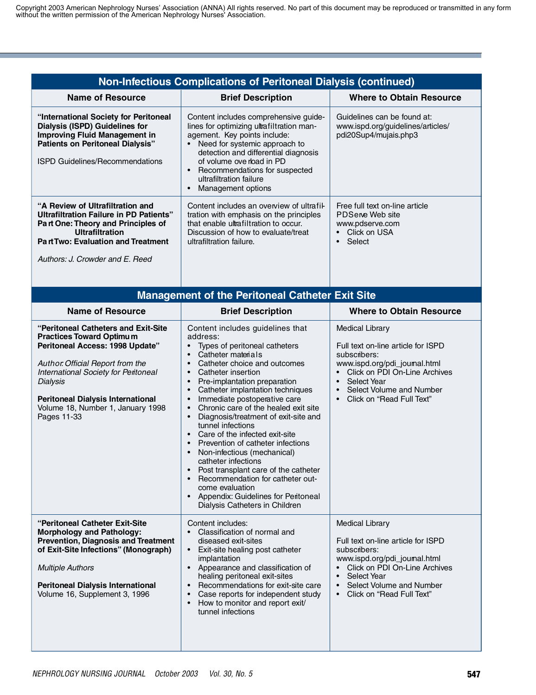|                                                                                                                                                                                                                                                                                                          | <b>Non-Infectious Complications of Peritoneal Dialysis (continued)</b>                                                                                                                                                                                                                                                                                                                                                                                                                                                                                                                                                                                                                                                                                                                                                 |                                                                                                                                                                                                                                                                           |
|----------------------------------------------------------------------------------------------------------------------------------------------------------------------------------------------------------------------------------------------------------------------------------------------------------|------------------------------------------------------------------------------------------------------------------------------------------------------------------------------------------------------------------------------------------------------------------------------------------------------------------------------------------------------------------------------------------------------------------------------------------------------------------------------------------------------------------------------------------------------------------------------------------------------------------------------------------------------------------------------------------------------------------------------------------------------------------------------------------------------------------------|---------------------------------------------------------------------------------------------------------------------------------------------------------------------------------------------------------------------------------------------------------------------------|
| <b>Name of Resource</b>                                                                                                                                                                                                                                                                                  | <b>Brief Description</b>                                                                                                                                                                                                                                                                                                                                                                                                                                                                                                                                                                                                                                                                                                                                                                                               | <b>Where to Obtain Resource</b>                                                                                                                                                                                                                                           |
| "International Society for Peritoneal<br>Dialysis (ISPD) Guidelines for<br><b>Improving Fluid Management in</b><br><b>Patients on Peritoneal Dialysis"</b><br><b>ISPD Guidelines/Recommendations</b>                                                                                                     | Content includes comprehensive guide-<br>lines for optimizing ultrafiltration man-<br>agement. Key points include:<br>Need for systemic approach to<br>$\bullet$<br>detection and differential diagnosis<br>of volume ove rload in PD<br>$\bullet$<br>Recommendations for suspected<br>ultrafiltration failure<br>Management options<br>$\bullet$                                                                                                                                                                                                                                                                                                                                                                                                                                                                      | Guidelines can be found at:<br>www.ispd.org/guidelines/articles/<br>pdi20Sup4/mujais.php3                                                                                                                                                                                 |
| "A Review of Ultrafiltration and<br>Ultrafiltration Failure in PD Patients"<br>Part One: Theory and Principles of<br><b>Ultrafiltration</b><br><b>PartTwo: Evaluation and Treatment</b><br>Authors: J. Crowder and E. Reed                                                                               | Content includes an overview of ultrafil-<br>tration with emphasis on the principles<br>that enable ultrafiltration to occur.<br>Discussion of how to evaluate/treat<br>ultrafiltration failure.                                                                                                                                                                                                                                                                                                                                                                                                                                                                                                                                                                                                                       | Free full text on-line article<br>PDServe Web site<br>www.pdserve.com<br>• Click on USA<br>Select<br>$\bullet$                                                                                                                                                            |
|                                                                                                                                                                                                                                                                                                          | <b>Management of the Peritoneal Catheter Exit Site</b>                                                                                                                                                                                                                                                                                                                                                                                                                                                                                                                                                                                                                                                                                                                                                                 |                                                                                                                                                                                                                                                                           |
| <b>Name of Resource</b>                                                                                                                                                                                                                                                                                  | <b>Brief Description</b>                                                                                                                                                                                                                                                                                                                                                                                                                                                                                                                                                                                                                                                                                                                                                                                               | <b>Where to Obtain Resource</b>                                                                                                                                                                                                                                           |
| "Peritoneal Catheters and Exit-Site<br><b>Practices Toward Optimum</b><br>Peritoneal Access: 1998 Update"<br>Author. Official Report from the<br>International Society for Peritoneal<br><b>Dialysis</b><br><b>Peritoneal Dialysis International</b><br>Volume 18, Number 1, January 1998<br>Pages 11-33 | Content includes guidelines that<br>address:<br>Types of peritoneal catheters<br>Catheter materials<br>$\bullet$<br>Catheter choice and outcomes<br>$\bullet$<br>Catheter insertion<br>$\bullet$<br>Pre-implantation preparation<br>$\bullet$<br>Catheter implantation techniques<br>$\bullet$<br>Immediate postoperative care<br>$\bullet$<br>Chronic care of the healed exit site<br>$\bullet$<br>Diagnosis/treatment of exit-site and<br>$\bullet$<br>tunnel infections<br>Care of the infected exit-site<br>$\bullet$<br>Prevention of catheter infections<br>Non-infectious (mechanical)<br>$\bullet$<br>catheter infections<br>Post transplant care of the catheter<br>Recommendation for catheter out-<br>come evaluation<br>Appendix: Guidelines for Peritoneal<br>$\bullet$<br>Dialysis Catheters in Children | <b>Medical Library</b><br>Full text on-line article for ISPD<br>subscribers:<br>www.ispd.org/pdi_joumal.html<br>• Click on PDI On-Line Archives<br>Select Year<br>$\bullet$<br>Select Volume and Number<br>$\bullet$<br>Click on "Read Full Text"<br>$\bullet$            |
| "Peritoneal Catheter Exit-Site<br><b>Morphology and Pathology:</b><br><b>Prevention, Diagnosis and Treatment</b><br>of Exit-Site Infections" (Monograph)<br><b>Multiple Authors</b><br><b>Peritoneal Dialysis International</b><br>Volume 16, Supplement 3, 1996                                         | Content includes:<br>Classification of normal and<br>$\bullet$<br>diseased exit-sites<br>Exit-site healing post catheter<br>$\bullet$<br>implantation<br>• Appearance and classification of<br>healing peritoneal exit-sites<br>Recommendations for exit-site care<br>$\bullet$<br>Case reports for independent study<br>How to monitor and report exit/<br>$\bullet$<br>tunnel infections                                                                                                                                                                                                                                                                                                                                                                                                                             | <b>Medical Library</b><br>Full text on-line article for ISPD<br>subscribers:<br>www.ispd.org/pdi_joumal.html<br>Click on PDI On-Line Archives<br>$\bullet$<br>Select Year<br>$\bullet$<br>Select Volume and Number<br>$\bullet$<br>Click on "Read Full Text"<br>$\bullet$ |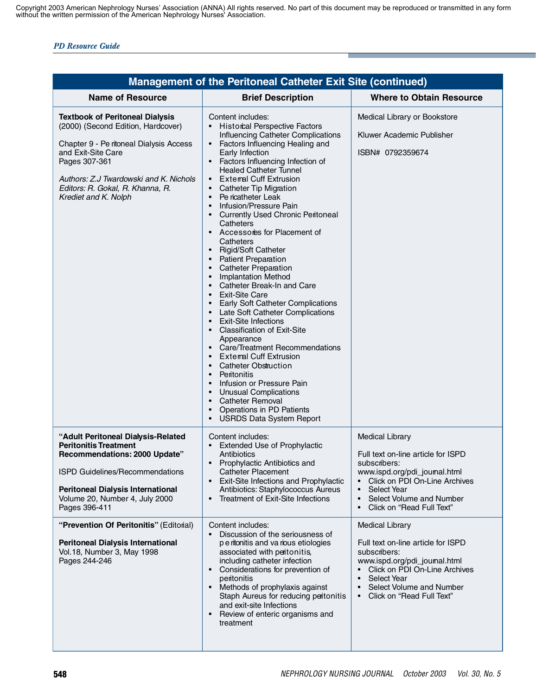| <b>Management of the Peritoneal Catheter Exit Site (continued)</b>                                                                                                                                                                                                   |                                                                                                                                                                                                                                                                                                                                                                                                                                                                                                                                                                                                                                                                                                                                                                                                                                                                                                                                                                                                                                                                                                                                                                                                                                                                                                                                                      |                                                                                                                                                                                                                                                 |
|----------------------------------------------------------------------------------------------------------------------------------------------------------------------------------------------------------------------------------------------------------------------|------------------------------------------------------------------------------------------------------------------------------------------------------------------------------------------------------------------------------------------------------------------------------------------------------------------------------------------------------------------------------------------------------------------------------------------------------------------------------------------------------------------------------------------------------------------------------------------------------------------------------------------------------------------------------------------------------------------------------------------------------------------------------------------------------------------------------------------------------------------------------------------------------------------------------------------------------------------------------------------------------------------------------------------------------------------------------------------------------------------------------------------------------------------------------------------------------------------------------------------------------------------------------------------------------------------------------------------------------|-------------------------------------------------------------------------------------------------------------------------------------------------------------------------------------------------------------------------------------------------|
| <b>Name of Resource</b>                                                                                                                                                                                                                                              | <b>Brief Description</b>                                                                                                                                                                                                                                                                                                                                                                                                                                                                                                                                                                                                                                                                                                                                                                                                                                                                                                                                                                                                                                                                                                                                                                                                                                                                                                                             | <b>Where to Obtain Resource</b>                                                                                                                                                                                                                 |
| <b>Textbook of Peritoneal Dialysis</b><br>(2000) (Second Edition, Hardcover)<br>Chapter 9 - Pe ritoneal Dialysis Access<br>and Exit-Site Care<br>Pages 307-361<br>Authors: Z.J Twardowski and K. Nichols<br>Editors: R. Gokal, R. Khanna, R.<br>Krediet and K. Nolph | Content includes:<br><b>Historcal Perspective Factors</b><br>Influencing Catheter Complications<br>Factors Influencing Healing and<br>$\bullet$<br>Early Infection<br>Factors Influencing Infection of<br><b>Healed Catheter Tunnel</b><br><b>External Cuff Extrusion</b><br>$\bullet$<br><b>Catheter Tip Migration</b><br>$\bullet$<br>Pe ricatheter Leak<br>$\bullet$<br>Infusion/Pressure Pain<br>$\bullet$<br><b>Currently Used Chronic Peritoneal</b><br>Catheters<br>Accessories for Placement of<br>$\bullet$<br>Catheters<br><b>Rigid/Soft Catheter</b><br>$\bullet$<br><b>Patient Preparation</b><br>$\bullet$<br><b>Catheter Preparation</b><br><b>Implantation Method</b><br>$\bullet$<br>Catheter Break-In and Care<br>$\bullet$<br><b>Exit-Site Care</b><br>$\bullet$<br>Early Soft Catheter Complications<br>$\bullet$<br>Late Soft Catheter Complications<br>$\bullet$<br><b>Exit-Site Infections</b><br><b>Classification of Exit-Site</b><br>$\bullet$<br>Appearance<br><b>Care/Treatment Recommendations</b><br><b>External Cuff Extrusion</b><br>$\bullet$<br><b>Catheter Obstruction</b><br>$\bullet$<br>Peritonitis<br>Infusion or Pressure Pain<br>$\bullet$<br><b>Unusual Complications</b><br>$\bullet$<br><b>Catheter Removal</b><br>Operations in PD Patients<br>$\bullet$<br><b>USRDS Data System Report</b><br>$\bullet$ | Medical Library or Bookstore<br>Kluwer Academic Publisher<br>ISBN# 0792359674                                                                                                                                                                   |
| "Adult Peritoneal Dialysis-Related<br><b>Peritonitis Treatment</b><br>Recommendations: 2000 Update"<br>ISPD Guidelines/Recommendations<br><b>Peritoneal Dialysis International</b><br>Volume 20, Number 4, July 2000<br>Pages 396-411                                | Content includes:<br><b>Extended Use of Prophylactic</b><br>Antibiotics<br>Prophylactic Antibiotics and<br>$\bullet$<br>Catheter Placement<br>Exit-Site Infections and Prophylactic<br>$\bullet$<br>Antibiotics: Staphylococcus Aureus<br>Treatment of Exit-Site Infections<br>$\bullet$                                                                                                                                                                                                                                                                                                                                                                                                                                                                                                                                                                                                                                                                                                                                                                                                                                                                                                                                                                                                                                                             | <b>Medical Library</b><br>Full text on-line article for ISPD<br>subscribers:<br>www.ispd.org/pdi_joumal.html<br>Click on PDI On-Line Archives<br>Select Year<br>$\bullet$<br>Select Volume and Number<br>$\bullet$<br>Click on "Read Full Text" |
| "Prevention Of Peritonitis" (Editorial)<br><b>Peritoneal Dialysis International</b><br>Vol.18, Number 3, May 1998<br>Pages 244-246                                                                                                                                   | Content includes:<br>Discussion of the seriousness of<br>p e ritonitis and va rious etiologies<br>associated with peritonitis,<br>including catheter infection<br>Considerations for prevention of<br>$\bullet$<br>peritonitis<br>Methods of prophylaxis against<br>$\bullet$<br>Staph Aureus for reducing peritonitis<br>and exit-site Infections<br>Review of enteric organisms and<br>treatment                                                                                                                                                                                                                                                                                                                                                                                                                                                                                                                                                                                                                                                                                                                                                                                                                                                                                                                                                   | <b>Medical Library</b><br>Full text on-line article for ISPD<br>subscribers:<br>www.ispd.org/pdi_joumal.html<br>Click on PDI On-Line Archives<br>Select Year<br>Select Volume and Number<br>Click on "Read Full Text"<br>$\bullet$              |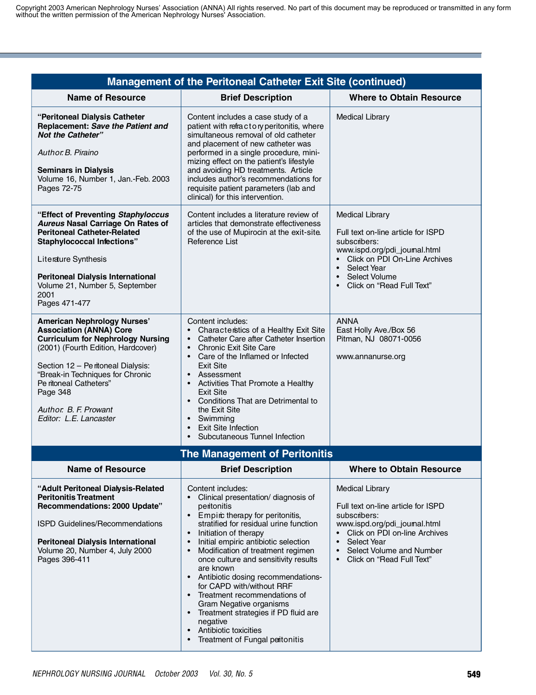| <b>Management of the Peritoneal Catheter Exit Site (continued)</b>                                                                                                                                                                                                                                                       |                                                                                                                                                                                                                                                                                                                                                                                                                                                                                                                                                                                                                                                                      |                                                                                                                                                                                                                                                 |
|--------------------------------------------------------------------------------------------------------------------------------------------------------------------------------------------------------------------------------------------------------------------------------------------------------------------------|----------------------------------------------------------------------------------------------------------------------------------------------------------------------------------------------------------------------------------------------------------------------------------------------------------------------------------------------------------------------------------------------------------------------------------------------------------------------------------------------------------------------------------------------------------------------------------------------------------------------------------------------------------------------|-------------------------------------------------------------------------------------------------------------------------------------------------------------------------------------------------------------------------------------------------|
| <b>Name of Resource</b>                                                                                                                                                                                                                                                                                                  | <b>Brief Description</b>                                                                                                                                                                                                                                                                                                                                                                                                                                                                                                                                                                                                                                             | <b>Where to Obtain Resource</b>                                                                                                                                                                                                                 |
| "Peritoneal Dialysis Catheter<br>Replacement: Save the Patient and<br><b>Not the Catheter"</b><br>Author, B. Piraino<br><b>Seminars in Dialysis</b><br>Volume 16, Number 1, Jan.-Feb. 2003<br>Pages 72-75                                                                                                                | Content includes a case study of a<br>patient with refractory peritonitis, where<br>simultaneous removal of old catheter<br>and placement of new catheter was<br>performed in a single procedure, mini-<br>mizing effect on the patient's lifestyle<br>and avoiding HD treatments. Article<br>includes author's recommendations for<br>requisite patient parameters (lab and<br>clinical) for this intervention.                                                                                                                                                                                                                                                     | <b>Medical Library</b>                                                                                                                                                                                                                          |
| "Effect of Preventing Staphyloccus<br><b>Aureus Nasal Carriage On Rates of</b><br><b>Peritoneal Catheter-Related</b><br><b>Staphylococcal Infections"</b><br>Literature Synthesis<br><b>Peritoneal Dialysis International</b><br>Volume 21, Number 5, September<br>2001<br>Pages 471-477                                 | Content includes a literature review of<br>articles that demonstrate effectiveness<br>of the use of Mupirocin at the exit-site.<br>Reference List                                                                                                                                                                                                                                                                                                                                                                                                                                                                                                                    | <b>Medical Library</b><br>Full text on-line article for ISPD<br>subscribers:<br>www.ispd.org/pdi_joumal.html<br>• Click on PDI On-Line Archives<br>• Select Year<br>Select Volume<br>Click on "Read Full Text"                                  |
| <b>American Nephrology Nurses'</b><br><b>Association (ANNA) Core</b><br><b>Curriculum for Nephrology Nursing</b><br>(2001) (Fourth Edition, Hardcover)<br>Section 12 - Peritoneal Dialysis:<br>"Break-in Techniques for Chronic<br>Pe ritoneal Catheters"<br>Page 348<br>Author. B. F. Prowant<br>Editor: L.E. Lancaster | Content includes:<br>Characteristics of a Healthy Exit Site<br>Catheter Care after Catheter Insertion<br>$\bullet$<br><b>Chronic Exit Site Care</b><br>$\bullet$<br>Care of the Inflamed or Infected<br><b>Exit Site</b><br>• Assessment<br>Activities That Promote a Healthy<br>$\bullet$<br>Exit Site<br>• Conditions That are Detrimental to<br>the Exit Site<br>Swimming<br>$\bullet$<br><b>Exit Site Infection</b><br>$\bullet$<br>Subcutaneous Tunnel Infection                                                                                                                                                                                                | <b>ANNA</b><br>East Holly Ave./Box 56<br>Pitman, NJ 08071-0056<br>www.annanurse.org                                                                                                                                                             |
|                                                                                                                                                                                                                                                                                                                          | <b>The Management of Peritonitis</b>                                                                                                                                                                                                                                                                                                                                                                                                                                                                                                                                                                                                                                 |                                                                                                                                                                                                                                                 |
| <b>Name of Resource</b>                                                                                                                                                                                                                                                                                                  | <b>Brief Description</b>                                                                                                                                                                                                                                                                                                                                                                                                                                                                                                                                                                                                                                             | <b>Where to Obtain Resource</b>                                                                                                                                                                                                                 |
| "Adult Peritoneal Dialysis-Related<br><b>Peritonitis Treatment</b><br>Recommendations: 2000 Update"<br>ISPD Guidelines/Recommendations<br><b>Peritoneal Dialysis International</b><br>Volume 20, Number 4, July 2000<br>Pages 396-411                                                                                    | Content includes:<br>Clinical presentation/ diagnosis of<br>peritonitis<br>Empirc therapy for peritonitis,<br>$\bullet$<br>stratified for residual urine function<br>Initiation of therapy<br>$\bullet$<br>Initial empiric antibiotic selection<br>$\bullet$<br>Modification of treatment regimen<br>$\bullet$<br>once culture and sensitivity results<br>are known<br>Antibiotic dosing recommendations-<br>$\bullet$<br>for CAPD with/without RRF<br>Treatment recommendations of<br>$\bullet$<br>Gram Negative organisms<br>Treatment strategies if PD fluid are<br>$\bullet$<br>negative<br>Antibiotic toxicities<br>$\bullet$<br>Treatment of Fungal peitonitis | <b>Medical Library</b><br>Full text on-line article for ISPD<br>subscribers:<br>www.ispd.org/pdi_joumal.html<br>Click on PDI on-line Archives<br>Select Year<br>$\bullet$<br>Select Volume and Number<br>$\bullet$<br>Click on "Read Full Text" |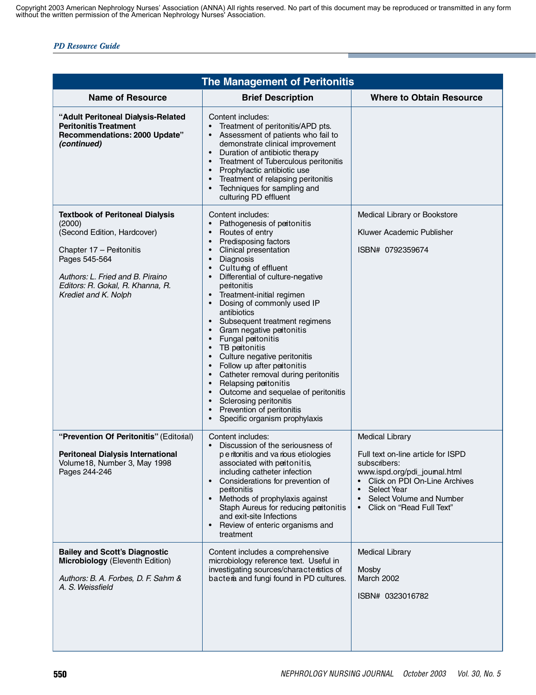| <b>The Management of Peritonitis</b>                                                                                                                                                                                         |                                                                                                                                                                                                                                                                                                                                                                                                                                                                                                                                                                                                                                                                                                                                                                                                                                                                                                                            |                                                                                                                                                                                                                                    |
|------------------------------------------------------------------------------------------------------------------------------------------------------------------------------------------------------------------------------|----------------------------------------------------------------------------------------------------------------------------------------------------------------------------------------------------------------------------------------------------------------------------------------------------------------------------------------------------------------------------------------------------------------------------------------------------------------------------------------------------------------------------------------------------------------------------------------------------------------------------------------------------------------------------------------------------------------------------------------------------------------------------------------------------------------------------------------------------------------------------------------------------------------------------|------------------------------------------------------------------------------------------------------------------------------------------------------------------------------------------------------------------------------------|
| <b>Name of Resource</b>                                                                                                                                                                                                      | <b>Brief Description</b>                                                                                                                                                                                                                                                                                                                                                                                                                                                                                                                                                                                                                                                                                                                                                                                                                                                                                                   | <b>Where to Obtain Resource</b>                                                                                                                                                                                                    |
| "Adult Peritoneal Dialysis-Related<br><b>Peritonitis Treatment</b><br>Recommendations: 2000 Update"<br>(continued)                                                                                                           | Content includes:<br>Treatment of peritonitis/APD pts.<br>Assessment of patients who fail to<br>demonstrate clinical improvement<br>Duration of antibiotic therapy<br>$\bullet$<br>Treatment of Tuberculous peritonitis<br>$\bullet$<br>Prophylactic antibiotic use<br>$\bullet$<br>Treatment of relapsing peritonitis<br>$\bullet$<br>Techniques for sampling and<br>culturing PD effluent                                                                                                                                                                                                                                                                                                                                                                                                                                                                                                                                |                                                                                                                                                                                                                                    |
| <b>Textbook of Peritoneal Dialysis</b><br>(2000)<br>(Second Edition, Hardcover)<br>Chapter 17 - Peritonitis<br>Pages 545-564<br>Authors: L. Fried and B. Piraino<br>Editors: R. Gokal, R. Khanna, R.<br>Krediet and K. Nolph | Content includes:<br>Pathogenesis of peitonitis<br>Routes of entry<br>$\bullet$<br>Predisposing factors<br>$\bullet$<br>Clinical presentation<br>$\bullet$<br>Diagnosis<br>$\bullet$<br>Cultumg of effluent<br>$\bullet$<br>Differential of culture-negative<br>$\bullet$<br>peritonitis<br>Treatment-initial regimen<br>$\bullet$<br>Dosing of commonly used IP<br>$\bullet$<br>antibiotics<br>Subsequent treatment regimens<br>$\bullet$<br>Gram negative peritonitis<br>$\bullet$<br>Fungal peitonitis<br>$\bullet$<br>TB peritonitis<br>$\bullet$<br>Culture negative peritonitis<br>$\bullet$<br>Follow up after peitonitis<br>$\bullet$<br>Catheter removal during peritonitis<br>$\bullet$<br>Relapsing peritonitis<br>$\bullet$<br>Outcome and sequelae of peritonitis<br>$\bullet$<br>Sclerosing peritonitis<br>$\bullet$<br>Prevention of peritonitis<br>$\bullet$<br>Specific organism prophylaxis<br>$\bullet$ | Medical Library or Bookstore<br>Kluwer Academic Publisher<br>ISBN# 0792359674                                                                                                                                                      |
| "Prevention Of Peritonitis" (Editorial)<br><b>Peritoneal Dialysis International</b><br>Volume18, Number 3, May 1998<br>Pages 244-246                                                                                         | Content includes:<br>Discussion of the seriousness of<br>$\bullet$<br>p e ritonitis and va rious etiologies<br>associated with peritonitis,<br>including catheter infection<br>Considerations for prevention of<br>$\bullet$<br>peritonitis<br>Methods of prophylaxis against<br>$\bullet$<br>Staph Aureus for reducing peritonitis<br>and exit-site Infections<br>Review of enteric organisms and<br>$\bullet$<br>treatment                                                                                                                                                                                                                                                                                                                                                                                                                                                                                               | <b>Medical Library</b><br>Full text on-line article for ISPD<br>subscribers:<br>www.ispd.org/pdi_joumal.html<br>Click on PDI On-Line Archives<br>Select Year<br>Select Volume and Number<br>$\bullet$<br>Click on "Read Full Text" |
| <b>Bailey and Scott's Diagnostic</b><br>Microbiology (Eleventh Edition)<br>Authors: B. A. Forbes, D. F. Sahm &<br>A. S. Weissfield                                                                                           | Content includes a comprehensive<br>microbiology reference text. Useful in<br>investigating sources/characteristics of<br>bactera and fungi found in PD cultures.                                                                                                                                                                                                                                                                                                                                                                                                                                                                                                                                                                                                                                                                                                                                                          | <b>Medical Library</b><br>Mosby<br>March 2002<br>ISBN# 0323016782                                                                                                                                                                  |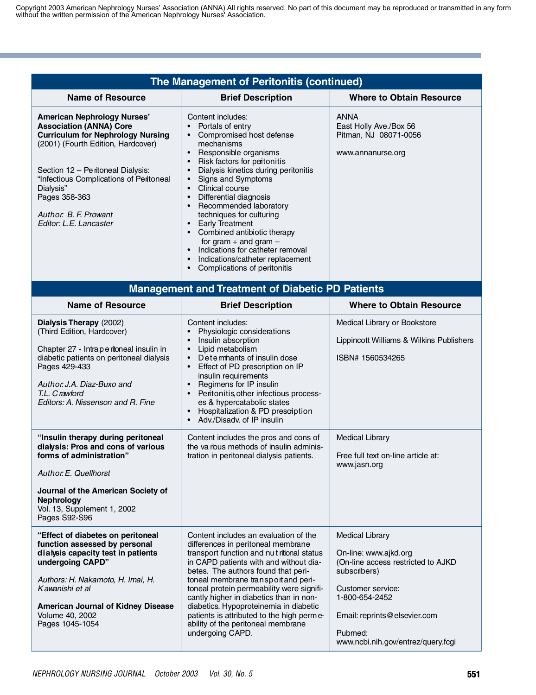| The Management of Peritonitis (continued)                                                                                                                                                                                                                                                                                |                                                                                                                                                                                                                                                                                                                                                                                                                                                                                                                                                                                                                                                                     |                                                                                                                                                                                                                               |
|--------------------------------------------------------------------------------------------------------------------------------------------------------------------------------------------------------------------------------------------------------------------------------------------------------------------------|---------------------------------------------------------------------------------------------------------------------------------------------------------------------------------------------------------------------------------------------------------------------------------------------------------------------------------------------------------------------------------------------------------------------------------------------------------------------------------------------------------------------------------------------------------------------------------------------------------------------------------------------------------------------|-------------------------------------------------------------------------------------------------------------------------------------------------------------------------------------------------------------------------------|
| <b>Name of Resource</b>                                                                                                                                                                                                                                                                                                  | <b>Brief Description</b>                                                                                                                                                                                                                                                                                                                                                                                                                                                                                                                                                                                                                                            | <b>Where to Obtain Resource</b>                                                                                                                                                                                               |
| <b>American Nephrology Nurses'</b><br><b>Association (ANNA) Core</b><br><b>Curriculum for Nephrology Nursing</b><br>(2001) (Fourth Edition, Hardcover)<br>Section 12 - Pe ritoneal Dialysis:<br>"Infectious Complications of Peritoneal<br>Dialysis"<br>Pages 358-363<br>Author. B. F. Prowant<br>Editor: L.E. Lancaster | Content includes:<br>Portals of entry<br>Compromised host defense<br>$\bullet$<br>mechanisms<br>Responsible organisms<br>$\bullet$<br>Risk factors for peritonitis<br>$\bullet$<br>Dialysis kinetics during peritonitis<br>$\bullet$<br>Signs and Symptoms<br>$\bullet$<br>Clinical course<br>$\bullet$<br>Differential diagnosis<br>$\bullet$<br>Recommended laboratory<br>$\bullet$<br>techniques for culturing<br><b>Early Treatment</b><br>$\bullet$<br>Combined antibiotic therapy<br>$\bullet$<br>for gram $+$ and gram $-$<br>Indications for catheter removal<br>$\bullet$<br>Indications/catheter replacement<br>Complications of peritonitis<br>$\bullet$ | <b>ANNA</b><br>East Holly Ave./Box 56<br>Pitman, NJ 08071-0056<br>www.annanurse.org                                                                                                                                           |
|                                                                                                                                                                                                                                                                                                                          | <b>Management and Treatment of Diabetic PD Patients</b>                                                                                                                                                                                                                                                                                                                                                                                                                                                                                                                                                                                                             |                                                                                                                                                                                                                               |
| <b>Name of Resource</b>                                                                                                                                                                                                                                                                                                  | <b>Brief Description</b>                                                                                                                                                                                                                                                                                                                                                                                                                                                                                                                                                                                                                                            | <b>Where to Obtain Resource</b>                                                                                                                                                                                               |
| Dialysis Therapy (2002)<br>(Third Edition, Hardcover)<br>Chapter 27 - Intraperitoneal insulin in<br>diabetic patients on peritoneal dialysis<br>Pages 429-433<br>Author. J.A. Diaz-Buxo and<br>T.L. C rawford<br>Editors: A. Nissenson and R. Fine                                                                       | Content includes:<br>Physiologic considerations<br>Insulin absorption<br>$\bullet$<br>Lipid metabolism<br>$\bullet$<br>Deteminants of insulin dose<br>$\bullet$<br>Effect of PD prescription on IP<br>$\bullet$<br>insulin requirements<br>Regimens for IP insulin<br>$\bullet$<br>Peritonitis, other infectious process-<br>$\bullet$<br>es & hypercatabolic states<br>Hospitalization & PD prescription<br>$\bullet$<br>Adv./Disadv. of IP insulin<br>$\bullet$                                                                                                                                                                                                   | Medical Library or Bookstore<br>Lippincott Williams & Wilkins Publishers<br>ISBN# 1560534265                                                                                                                                  |
| "Insulin therapy during peritoneal<br>dialysis: Pros and cons of various<br>forms of administration"<br>Author. E. Quellhorst<br>Journal of the American Society of<br><b>Nephrology</b><br>Vol. 13, Supplement 1, 2002<br>Pages S92-S96                                                                                 | Content includes the pros and cons of<br>the various methods of insulin adminis-<br>tration in peritoneal dialysis patients.                                                                                                                                                                                                                                                                                                                                                                                                                                                                                                                                        | <b>Medical Library</b><br>Free full text on-line article at:<br>www.jasn.org                                                                                                                                                  |
| "Effect of diabetes on peritoneal<br>function assessed by personal<br>dialysis capacity test in patients<br>undergoing CAPD"<br>Authors: H. Nakamoto, H. Imai, H.<br>Kawanishi et al<br><b>American Journal of Kidney Disease</b><br>Volume 40, 2002<br>Pages 1045-1054                                                  | Content includes an evaluation of the<br>differences in peritoneal membrane<br>transport function and nut ritional status<br>in CAPD patients with and without dia-<br>betes. The authors found that peri-<br>toneal membrane transport and peri-<br>toneal protein permeability were signifi-<br>cantly higher in diabetics than in non-<br>diabetics. Hypoproteinemia in diabetic<br>patients is attributed to the high perme-<br>ability of the peritoneal membrane<br>undergoing CAPD.                                                                                                                                                                          | <b>Medical Library</b><br>On-line: www.ajkd.org<br>(On-line access restricted to AJKD<br>subscribers)<br>Customer service:<br>1-800-654-2452<br>Email: reprints@elsevier.com<br>Pubmed:<br>www.ncbi.nih.gov/entrez/query.fcgi |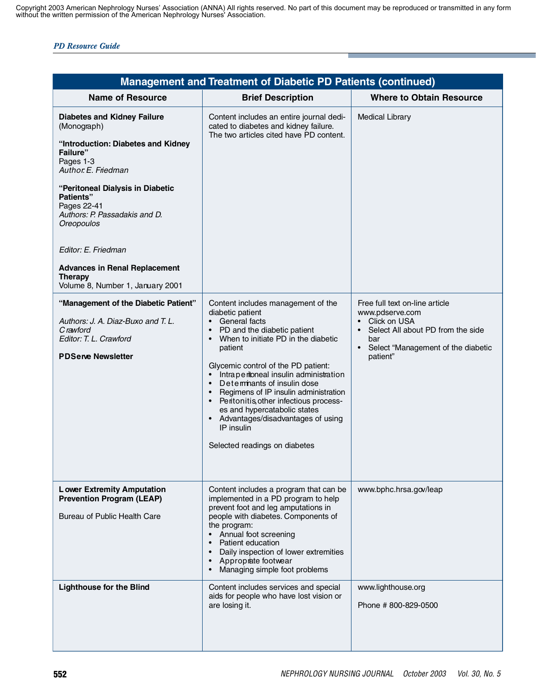| <b>Management and Treatment of Diabetic PD Patients (continued)</b>                                                                                                                                                                                                                                                                                                                  |                                                                                                                                                                                                                                                                                                                                                                                                                                                                                                                                                       |                                                                                                                                                                                             |
|--------------------------------------------------------------------------------------------------------------------------------------------------------------------------------------------------------------------------------------------------------------------------------------------------------------------------------------------------------------------------------------|-------------------------------------------------------------------------------------------------------------------------------------------------------------------------------------------------------------------------------------------------------------------------------------------------------------------------------------------------------------------------------------------------------------------------------------------------------------------------------------------------------------------------------------------------------|---------------------------------------------------------------------------------------------------------------------------------------------------------------------------------------------|
| <b>Name of Resource</b>                                                                                                                                                                                                                                                                                                                                                              | <b>Brief Description</b>                                                                                                                                                                                                                                                                                                                                                                                                                                                                                                                              | <b>Where to Obtain Resource</b>                                                                                                                                                             |
| <b>Diabetes and Kidney Failure</b><br>(Monograph)<br>"Introduction: Diabetes and Kidney<br><b>Failure</b> "<br>Pages 1-3<br>Author. E. Friedman<br>"Peritoneal Dialysis in Diabetic<br><b>Patients</b> "<br>Pages 22-41<br>Authors: P. Passadakis and D.<br>Oreopoulos<br>Editor: E. Friedman<br><b>Advances in Renal Replacement</b><br>Therapy<br>Volume 8, Number 1, January 2001 | Content includes an entire journal dedi-<br>cated to diabetes and kidney failure.<br>The two articles cited have PD content.                                                                                                                                                                                                                                                                                                                                                                                                                          | <b>Medical Library</b>                                                                                                                                                                      |
| "Management of the Diabetic Patient"<br>Authors: J. A. Diaz-Buxo and T. L.<br>C rawford<br>Editor: T. L. Crawford<br><b>PDServe Newsletter</b>                                                                                                                                                                                                                                       | Content includes management of the<br>diabetic patient<br>• General facts<br>PD and the diabetic patient<br>$\bullet$<br>When to initiate PD in the diabetic<br>$\bullet$<br>patient<br>Glycemic control of the PD patient:<br>• Intraperitoneal insulin administration<br>Deteminants of insulin dose<br>$\bullet$<br>Regimens of IP insulin administration<br>$\bullet$<br>Peritonitis other infectious process-<br>$\bullet$<br>es and hypercatabolic states<br>• Advantages/disadvantages of using<br>IP insulin<br>Selected readings on diabetes | Free full text on-line article<br>www.pdserve.com<br>• Click on USA<br>Select All about PD from the side<br>$\bullet$<br>bar<br>$\bullet$<br>Select "Management of the diabetic<br>patient" |
| <b>Lower Extremity Amputation</b><br><b>Prevention Program (LEAP)</b><br>Bureau of Public Health Care                                                                                                                                                                                                                                                                                | Content includes a program that can be<br>implemented in a PD program to help<br>prevent foot and leg amputations in<br>people with diabetes. Components of<br>the program:<br>Annual foot screening<br>$\bullet$<br>Patient education<br>Daily inspection of lower extremities<br>$\bullet$<br>Approprate footwear<br>$\bullet$<br>Managing simple foot problems                                                                                                                                                                                     | www.bphc.hrsa.gov/leap                                                                                                                                                                      |
| <b>Lighthouse for the Blind</b>                                                                                                                                                                                                                                                                                                                                                      | Content includes services and special<br>aids for people who have lost vision or<br>are losing it.                                                                                                                                                                                                                                                                                                                                                                                                                                                    | www.lighthouse.org<br>Phone #800-829-0500                                                                                                                                                   |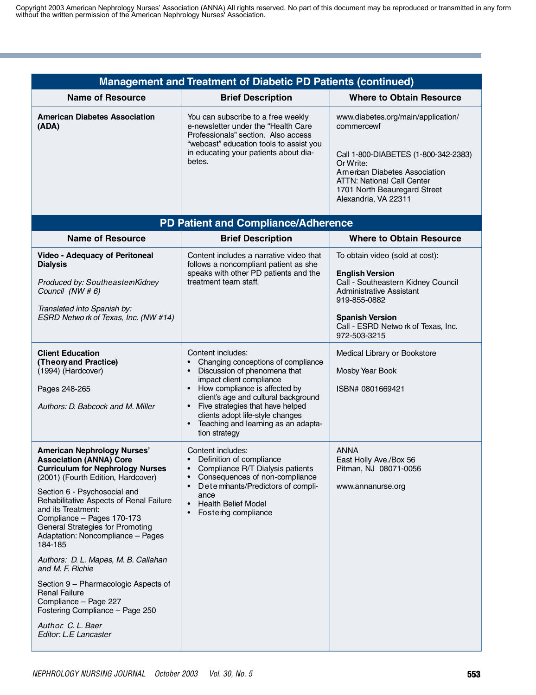| <b>Management and Treatment of Diabetic PD Patients (continued)</b>                                                                                                                                                                                                                                                                                                                                                                                                                                                                                                                                             |                                                                                                                                                                                                                                                                                                                                                                                    |                                                                                                                                                                                                                              |
|-----------------------------------------------------------------------------------------------------------------------------------------------------------------------------------------------------------------------------------------------------------------------------------------------------------------------------------------------------------------------------------------------------------------------------------------------------------------------------------------------------------------------------------------------------------------------------------------------------------------|------------------------------------------------------------------------------------------------------------------------------------------------------------------------------------------------------------------------------------------------------------------------------------------------------------------------------------------------------------------------------------|------------------------------------------------------------------------------------------------------------------------------------------------------------------------------------------------------------------------------|
| <b>Name of Resource</b>                                                                                                                                                                                                                                                                                                                                                                                                                                                                                                                                                                                         | <b>Brief Description</b>                                                                                                                                                                                                                                                                                                                                                           | <b>Where to Obtain Resource</b>                                                                                                                                                                                              |
| <b>American Diabetes Association</b><br>(ADA)                                                                                                                                                                                                                                                                                                                                                                                                                                                                                                                                                                   | You can subscribe to a free weekly<br>e-newsletter under the "Health Care<br>Professionals" section. Also access<br>"webcast" education tools to assist you<br>in educating your patients about dia-<br>betes.                                                                                                                                                                     | www.diabetes.org/main/application/<br>commercewf<br>Call 1-800-DIABETES (1-800-342-2383)<br>Or Write:<br>American Diabetes Association<br>ATTN: National Call Center<br>1701 North Beauregard Street<br>Alexandria, VA 22311 |
|                                                                                                                                                                                                                                                                                                                                                                                                                                                                                                                                                                                                                 | <b>PD Patient and Compliance/Adherence</b>                                                                                                                                                                                                                                                                                                                                         |                                                                                                                                                                                                                              |
| <b>Name of Resource</b>                                                                                                                                                                                                                                                                                                                                                                                                                                                                                                                                                                                         | <b>Brief Description</b>                                                                                                                                                                                                                                                                                                                                                           | <b>Where to Obtain Resource</b>                                                                                                                                                                                              |
| <b>Video - Adequacy of Peritoneal</b><br><b>Dialysis</b><br>Produced by: SoutheastemKidney<br>Council (NW # 6)<br>Translated into Spanish by:<br>ESRD Netwo rk of Texas, Inc. (NW #14)                                                                                                                                                                                                                                                                                                                                                                                                                          | Content includes a narrative video that<br>follows a noncompliant patient as she<br>speaks with other PD patients and the<br>treatment team staff.                                                                                                                                                                                                                                 | To obtain video (sold at cost):<br><b>English Version</b><br>Call - Southeastern Kidney Council<br>Administrative Assistant<br>919-855-0882<br><b>Spanish Version</b><br>Call - ESRD Netwo rk of Texas, Inc.<br>972-503-3215 |
| <b>Client Education</b><br>(Theory and Practice)<br>(1994) (Hardcover)<br>Pages 248-265<br>Authors: D. Babcock and M. Miller                                                                                                                                                                                                                                                                                                                                                                                                                                                                                    | Content includes:<br>Changing conceptions of compliance<br>$\bullet$<br>Discussion of phenomena that<br>$\bullet$<br>impact client compliance<br>• How compliance is affected by<br>client's age and cultural background<br>Five strategies that have helped<br>$\bullet$<br>clients adopt life-style changes<br>Teaching and learning as an adapta-<br>$\bullet$<br>tion strategy | Medical Library or Bookstore<br>Mosby Year Book<br>ISBN# 0801669421                                                                                                                                                          |
| <b>American Nephrology Nurses'</b><br><b>Association (ANNA) Core</b><br><b>Curriculum for Nephrology Nurses</b><br>(2001) (Fourth Edition, Hardcover)<br>Section 6 - Psychosocial and<br>Rehabilitative Aspects of Renal Failure<br>and its Treatment:<br>Compliance - Pages 170-173<br>General Strategies for Promoting<br>Adaptation: Noncompliance - Pages<br>184-185<br>Authors: D. L. Mapes, M. B. Callahan<br>and M. F. Richie<br>Section 9 - Pharmacologic Aspects of<br><b>Renal Failure</b><br>Compliance - Page 227<br>Fostering Compliance - Page 250<br>Author. C. L. Baer<br>Editor: L.E Lancaster | Content includes:<br>Definition of compliance<br>$\bullet$<br>Compliance R/T Dialysis patients<br>Consequences of non-compliance<br>$\bullet$<br>Deteminants/Predictors of compli-<br>$\bullet$<br>ance<br><b>Health Belief Model</b><br>$\bullet$<br>Fostering compliance                                                                                                         | <b>ANNA</b><br>East Holly Ave./Box 56<br>Pitman, NJ 08071-0056<br>www.annanurse.org                                                                                                                                          |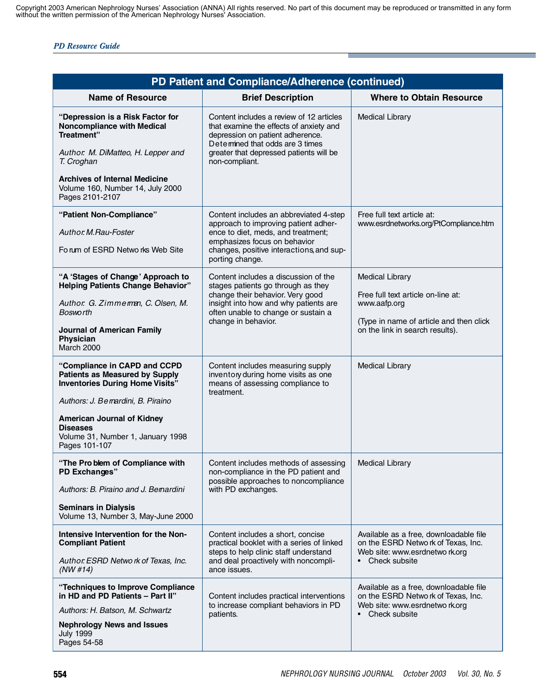|                                                                                                                                                                                                                                                                     | PD Patient and Compliance/Adherence (continued)                                                                                                                                                                         |                                                                                                                                                             |
|---------------------------------------------------------------------------------------------------------------------------------------------------------------------------------------------------------------------------------------------------------------------|-------------------------------------------------------------------------------------------------------------------------------------------------------------------------------------------------------------------------|-------------------------------------------------------------------------------------------------------------------------------------------------------------|
| <b>Name of Resource</b>                                                                                                                                                                                                                                             | <b>Brief Description</b>                                                                                                                                                                                                | <b>Where to Obtain Resource</b>                                                                                                                             |
| "Depression is a Risk Factor for<br><b>Noncompliance with Medical</b><br>Treatment"<br>Author. M. DiMatteo, H. Lepper and<br>T. Croghan<br><b>Archives of Internal Medicine</b><br>Volume 160, Number 14, July 2000<br>Pages 2101-2107                              | Content includes a review of 12 articles<br>that examine the effects of anxiety and<br>depression on patient adherence.<br>Detemined that odds are 3 times<br>greater that depressed patients will be<br>non-compliant. | <b>Medical Library</b>                                                                                                                                      |
| "Patient Non-Compliance"<br>Author. M.Rau-Foster<br>Forum of ESRD Networks Web Site                                                                                                                                                                                 | Content includes an abbreviated 4-step<br>approach to improving patient adher-<br>ence to diet, meds, and treatment;<br>emphasizes focus on behavior<br>changes, positive interactions, and sup-<br>porting change.     | Free full text article at:<br>www.esrdnetworks.org/PtCompliance.htm                                                                                         |
| "A 'Stages of Change' Approach to<br><b>Helping Patients Change Behavior"</b><br>Author. G. Zimmeman, C. Olsen, M.<br>Bosworth<br><b>Journal of American Family</b><br>Physician<br>March 2000                                                                      | Content includes a discussion of the<br>stages patients go through as they<br>change their behavior. Very good<br>insight into how and why patients are<br>often unable to change or sustain a<br>change in behavior.   | <b>Medical Library</b><br>Free full text article on-line at:<br>www.aafp.org<br>(Type in name of article and then click)<br>on the link in search results). |
| "Compliance in CAPD and CCPD<br><b>Patients as Measured by Supply</b><br><b>Inventories During Home Visits"</b><br>Authors: J. Bernardini, B. Piraino<br><b>American Journal of Kidney</b><br><b>Diseases</b><br>Volume 31, Number 1, January 1998<br>Pages 101-107 | Content includes measuring supply<br>inventory during home visits as one<br>means of assessing compliance to<br>treatment.                                                                                              | <b>Medical Library</b>                                                                                                                                      |
| "The Pro blem of Compliance with<br>PD Exchanges"<br>Authors: B. Piraino and J. Bemardini<br><b>Seminars in Dialysis</b><br>Volume 13, Number 3, May-June 2000                                                                                                      | Content includes methods of assessing<br>non-compliance in the PD patient and<br>possible approaches to noncompliance<br>with PD exchanges.                                                                             | <b>Medical Library</b>                                                                                                                                      |
| Intensive Intervention for the Non-<br><b>Compliant Patient</b><br>Author. ESRD Network of Texas, Inc.<br>(NW #14)                                                                                                                                                  | Content includes a short, concise<br>practical booklet with a series of linked<br>steps to help clinic staff understand<br>and deal proactively with noncompli-<br>ance issues.                                         | Available as a free, downloadable file<br>on the ESRD Netwo rk of Texas, Inc.<br>Web site: www.esrdnetwo rk.org<br>• Check subsite                          |
| "Techniques to Improve Compliance<br>in HD and PD Patients - Part II"<br>Authors: H. Batson, M. Schwartz<br><b>Nephrology News and Issues</b><br><b>July 1999</b><br>Pages 54-58                                                                                    | Content includes practical interventions<br>to increase compliant behaviors in PD<br>patients.                                                                                                                          | Available as a free, downloadable file<br>on the ESRD Netwo rk of Texas, Inc.<br>Web site: www.esrdnetwo rk.org<br>• Check subsite                          |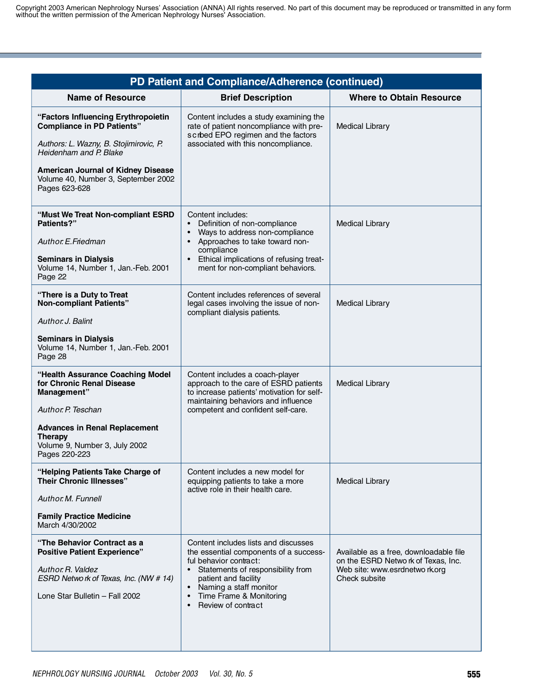| PD Patient and Compliance/Adherence (continued)                                                                                                                                                                                                   |                                                                                                                                                                                                                                                                                         |                                                                                                                                  |
|---------------------------------------------------------------------------------------------------------------------------------------------------------------------------------------------------------------------------------------------------|-----------------------------------------------------------------------------------------------------------------------------------------------------------------------------------------------------------------------------------------------------------------------------------------|----------------------------------------------------------------------------------------------------------------------------------|
| <b>Name of Resource</b>                                                                                                                                                                                                                           | <b>Brief Description</b>                                                                                                                                                                                                                                                                | <b>Where to Obtain Resource</b>                                                                                                  |
| "Factors Influencing Erythropoietin<br><b>Compliance in PD Patients"</b><br>Authors: L. Wazny, B. Stojimirovic, P.<br>Heidenham and P. Blake<br><b>American Journal of Kidney Disease</b><br>Volume 40, Number 3, September 2002<br>Pages 623-628 | Content includes a study examining the<br>rate of patient noncompliance with pre-<br>scrbed EPO regimen and the factors<br>associated with this noncompliance.                                                                                                                          | <b>Medical Library</b>                                                                                                           |
| "Must We Treat Non-compliant ESRD<br>Patients?"<br>Author E. Friedman<br><b>Seminars in Dialysis</b><br>Volume 14, Number 1, Jan.-Feb. 2001<br>Page 22                                                                                            | Content includes:<br>Definition of non-compliance<br>$\bullet$<br>Ways to address non-compliance<br>• Approaches to take toward non-<br>compliance<br>Ethical implications of refusing treat-<br>ment for non-compliant behaviors.                                                      | <b>Medical Library</b>                                                                                                           |
| "There is a Duty to Treat<br><b>Non-compliant Patients"</b><br>Author, J. Balint<br><b>Seminars in Dialysis</b><br>Volume 14, Number 1, Jan.-Feb. 2001<br>Page 28                                                                                 | Content includes references of several<br>legal cases involving the issue of non-<br>compliant dialysis patients.                                                                                                                                                                       | <b>Medical Library</b>                                                                                                           |
| "Health Assurance Coaching Model<br>for Chronic Renal Disease<br>Management"<br>Author. P. Teschan<br><b>Advances in Renal Replacement</b><br><b>Therapy</b><br>Volume 9, Number 3, July 2002<br>Pages 220-223                                    | Content includes a coach-player<br>approach to the care of ESRD patients<br>to increase patients' motivation for self-<br>maintaining behaviors and influence<br>competent and confident self-care.                                                                                     | <b>Medical Library</b>                                                                                                           |
| "Helping Patients Take Charge of<br><b>Their Chronic Illnesses"</b><br>Author, M. Funnell<br><b>Family Practice Medicine</b><br>March 4/30/2002                                                                                                   | Content includes a new model for<br>equipping patients to take a more<br>active role in their health care.                                                                                                                                                                              | <b>Medical Library</b>                                                                                                           |
| "The Behavior Contract as a<br><b>Positive Patient Experience"</b><br>Author, R. Valdez<br>ESRD Netwo rk of Texas, Inc. (NW # 14)<br>Lone Star Bulletin - Fall 2002                                                                               | Content includes lists and discusses<br>the essential components of a success-<br>ful behavior contract:<br>Statements of responsibility from<br>$\bullet$<br>patient and facility<br>Naming a staff monitor<br>$\bullet$<br>Time Frame & Monitoring<br>$\bullet$<br>Review of contract | Available as a free, downloadable file<br>on the ESRD Netwo rk of Texas, Inc.<br>Web site: www.esrdnetwo rk.org<br>Check subsite |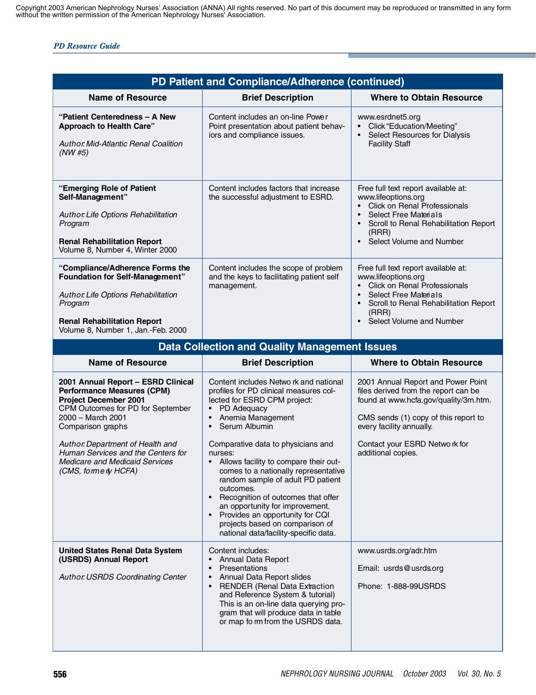| PD Patient and Compliance/Adherence (continued)                                                                                                                                                                                                                                                                                   |                                                                                                                                                                                                                                                                                                                                                                                                                                                                                                                                                                                                         |                                                                                                                                                                                                                                                 |
|-----------------------------------------------------------------------------------------------------------------------------------------------------------------------------------------------------------------------------------------------------------------------------------------------------------------------------------|---------------------------------------------------------------------------------------------------------------------------------------------------------------------------------------------------------------------------------------------------------------------------------------------------------------------------------------------------------------------------------------------------------------------------------------------------------------------------------------------------------------------------------------------------------------------------------------------------------|-------------------------------------------------------------------------------------------------------------------------------------------------------------------------------------------------------------------------------------------------|
| <b>Name of Resource</b>                                                                                                                                                                                                                                                                                                           | <b>Brief Description</b>                                                                                                                                                                                                                                                                                                                                                                                                                                                                                                                                                                                | <b>Where to Obtain Resource</b>                                                                                                                                                                                                                 |
| "Patient Centeredness – A New<br><b>Approach to Health Care"</b><br><b>Author Mid-Atlantic Renal Coalition</b><br>(NW#5)                                                                                                                                                                                                          | Content includes an on-line Power<br>Point presentation about patient behav-<br>iors and compliance issues.                                                                                                                                                                                                                                                                                                                                                                                                                                                                                             | www.esrdnet5.org<br>Click "Education/Meeting"<br>Select Resources for Dialysis<br><b>Facility Staff</b>                                                                                                                                         |
| "Emerging Role of Patient<br>Self-Management"<br>Author Life Options Rehabilitation<br>Program<br><b>Renal Rehabilitation Report</b><br>Volume 8, Number 4, Winter 2000                                                                                                                                                           | Content includes factors that increase<br>the successful adjustment to ESRD.                                                                                                                                                                                                                                                                                                                                                                                                                                                                                                                            | Free full text report available at:<br>www.lifeoptions.org<br>• Click on Renal Professionals<br>Select Free Materials<br>Scroll to Renal Rehabilitation Report<br>(RRR)<br>Select Volume and Number                                             |
| "Compliance/Adherence Forms the<br><b>Foundation for Self-Management"</b><br>Author Life Options Rehabilitation<br>Program<br><b>Renal Rehabilitation Report</b><br>Volume 8, Number 1, Jan.-Feb. 2000                                                                                                                            | Content includes the scope of problem<br>and the keys to facilitating patient self<br>management.                                                                                                                                                                                                                                                                                                                                                                                                                                                                                                       | Free full text report available at:<br>www.lifeoptions.org<br>• Click on Renal Professionals<br>Select Free Materials<br>Scroll to Renal Rehabilitation Report<br>(RRR)<br>• Select Volume and Number                                           |
|                                                                                                                                                                                                                                                                                                                                   | <b>Data Collection and Quality Management Issues</b>                                                                                                                                                                                                                                                                                                                                                                                                                                                                                                                                                    |                                                                                                                                                                                                                                                 |
| <b>Name of Resource</b>                                                                                                                                                                                                                                                                                                           | <b>Brief Description</b>                                                                                                                                                                                                                                                                                                                                                                                                                                                                                                                                                                                | <b>Where to Obtain Resource</b>                                                                                                                                                                                                                 |
| 2001 Annual Report - ESRD Clinical<br><b>Performance Measures (CPM)</b><br><b>Project December 2001</b><br>CPM Outcomes for PD for September<br>2000 - March 2001<br>Comparison graphs<br>Author. Department of Health and<br>Human Services and the Centers for<br><b>Medicare and Medicaid Services</b><br>(CMS, formerly HCFA) | Content includes Netwo rk and national<br>profiles for PD clinical measures col-<br>lected for ESRD CPM project:<br>PD Adequacy<br>Anemia Management<br>$\bullet$<br>Serum Albumin<br>$\bullet$<br>Comparative data to physicians and<br>nurses:<br>• Allows facility to compare their out-<br>comes to a nationally representative<br>random sample of adult PD patient<br>outcomes.<br>Recognition of outcomes that offer<br>$\bullet$<br>an opportunity for improvement.<br>Provides an opportunity for CQI<br>$\bullet$<br>projects based on comparison of<br>national data/facility-specific data. | 2001 Annual Report and Power Point<br>files derived from the report can be<br>found at www.hcfa.gov/quality/3m.htm.<br>CMS sends (1) copy of this report to<br>every facility annually.<br>Contact your ESRD Netwo rk for<br>additional copies. |
| <b>United States Renal Data System</b><br>(USRDS) Annual Report<br>Author USRDS Coordinating Center                                                                                                                                                                                                                               | Content includes:<br><b>Annual Data Report</b><br>$\bullet$<br>Presentations<br>$\bullet$<br>Annual Data Report slides<br>$\bullet$<br><b>RENDER (Renal Data Extraction</b><br>$\bullet$<br>and Reference System & tutorial)<br>This is an on-line data querying pro-<br>gram that will produce data in table<br>or map fo rm from the USRDS data.                                                                                                                                                                                                                                                      | www.usrds.org/adr.htm<br>Email: usrds@usrds.org<br>Phone: 1-888-99USRDS                                                                                                                                                                         |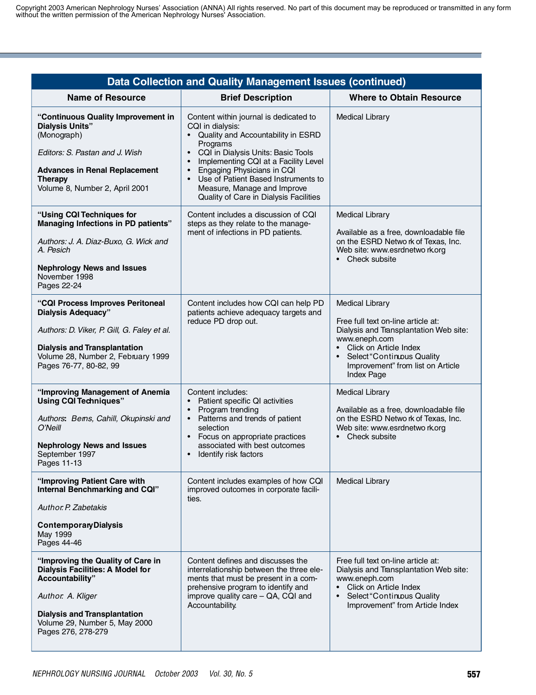| <b>Data Collection and Quality Management Issues (continued)</b>                                                                                                                                                    |                                                                                                                                                                                                                                                                                                                                                                                     |                                                                                                                                                                                                                                        |
|---------------------------------------------------------------------------------------------------------------------------------------------------------------------------------------------------------------------|-------------------------------------------------------------------------------------------------------------------------------------------------------------------------------------------------------------------------------------------------------------------------------------------------------------------------------------------------------------------------------------|----------------------------------------------------------------------------------------------------------------------------------------------------------------------------------------------------------------------------------------|
| <b>Name of Resource</b>                                                                                                                                                                                             | <b>Brief Description</b>                                                                                                                                                                                                                                                                                                                                                            | <b>Where to Obtain Resource</b>                                                                                                                                                                                                        |
| "Continuous Quality Improvement in<br><b>Dialysis Units"</b><br>(Monograph)<br>Editors: S. Pastan and J. Wish<br><b>Advances in Renal Replacement</b><br><b>Therapy</b><br>Volume 8, Number 2, April 2001           | Content within journal is dedicated to<br>CQI in dialysis:<br>• Quality and Accountability in ESRD<br>Programs<br>• CQI in Dialysis Units: Basic Tools<br>Implementing CQI at a Facility Level<br>$\bullet$<br>Engaging Physicians in CQI<br>$\bullet$<br>Use of Patient Based Instruments to<br>$\bullet$<br>Measure, Manage and Improve<br>Quality of Care in Dialysis Facilities | <b>Medical Library</b>                                                                                                                                                                                                                 |
| "Using CQI Techniques for<br>Managing Infections in PD patients"<br>Authors: J. A. Diaz-Buxo, G. Wick and<br>A. Pesich<br><b>Nephrology News and Issues</b><br>November 1998<br>Pages 22-24                         | Content includes a discussion of CQI<br>steps as they relate to the manage-<br>ment of infections in PD patients.                                                                                                                                                                                                                                                                   | <b>Medical Library</b><br>Available as a free, downloadable file<br>on the ESRD Netwo rk of Texas, Inc.<br>Web site: www.esrdnetwo rk.org<br>• Check subsite                                                                           |
| "CQI Process Improves Peritoneal<br><b>Dialysis Adequacy"</b><br>Authors: D. Viker, P. Gill, G. Faley et al.<br><b>Dialysis and Transplantation</b><br>Volume 28, Number 2, February 1999<br>Pages 76-77, 80-82, 99 | Content includes how CQI can help PD<br>patients achieve adequacy targets and<br>reduce PD drop out.                                                                                                                                                                                                                                                                                | <b>Medical Library</b><br>Free full text on-line article at:<br>Dialysis and Transplantation Web site:<br>www.eneph.com<br>• Click on Article Index<br>• Select "Continuous Quality<br>Improvement" from list on Article<br>Index Page |
| "Improving Management of Anemia<br><b>Using CQI Techniques"</b><br>Authors: Bems, Cahill, Okupinski and<br>$O'$ Neill<br><b>Nephrology News and Issues</b><br>September 1997<br>Pages 11-13                         | Content includes:<br>Patient specific QI activities<br>Program trending<br>$\bullet$<br>Patterns and trends of patient<br>$\bullet$<br>selection<br>• Focus on appropriate practices<br>associated with best outcomes<br>Identify risk factors<br>$\bullet$                                                                                                                         | <b>Medical Library</b><br>Available as a free, downloadable file<br>on the ESRD Netwo rk of Texas, Inc.<br>Web site: www.esrdnetwo rk.org<br>• Check subsite                                                                           |
| "Improving Patient Care with<br>Internal Benchmarking and CQI"<br>Author, P. Zabetakis<br><b>ContemporaryDialysis</b><br>May 1999<br>Pages 44-46                                                                    | Content includes examples of how CQI<br>improved outcomes in corporate facili-<br>ties.                                                                                                                                                                                                                                                                                             | <b>Medical Library</b>                                                                                                                                                                                                                 |
| "Improving the Quality of Care in<br><b>Dialysis Facilities: A Model for</b><br>Accountability"<br>Author. A. Kliger<br><b>Dialysis and Transplantation</b><br>Volume 29, Number 5, May 2000<br>Pages 276, 278-279  | Content defines and discusses the<br>interrelationship between the three ele-<br>ments that must be present in a com-<br>prehensive program to identify and<br>improve quality care - QA, CQI and<br>Accountability.                                                                                                                                                                | Free full text on-line article at:<br>Dialysis and Transplantation Web site:<br>www.eneph.com<br>Click on Article Index<br>Select "Continuous Quality<br>$\bullet$<br>Improvement" from Article Index                                  |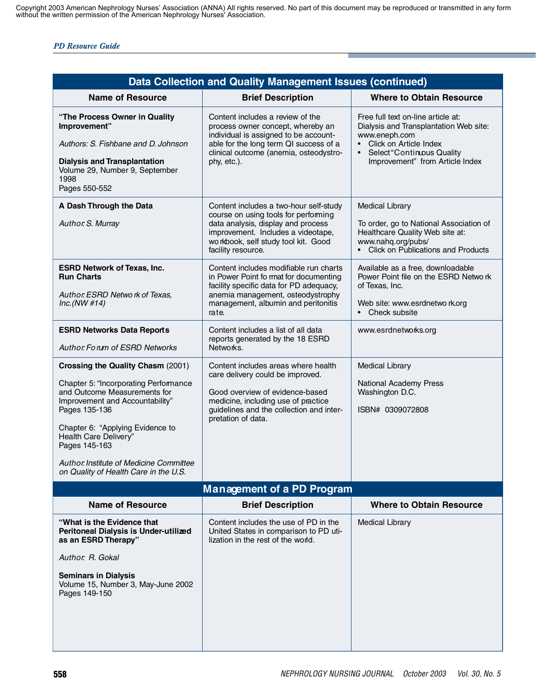| <b>Data Collection and Quality Management Issues (continued)</b>                                                                                                                                                                       |                                                                                                                                                                                            |  |
|----------------------------------------------------------------------------------------------------------------------------------------------------------------------------------------------------------------------------------------|--------------------------------------------------------------------------------------------------------------------------------------------------------------------------------------------|--|
| <b>Brief Description</b>                                                                                                                                                                                                               | <b>Where to Obtain Resource</b>                                                                                                                                                            |  |
| Content includes a review of the<br>process owner concept, whereby an<br>individual is assigned to be account-<br>able for the long term QI success of a<br>clinical outcome (anemia, osteodystro-<br>phy, etc.).                      | Free full text on-line article at:<br>Dialysis and Transplantation Web site:<br>www.eneph.com<br>• Click on Article Index<br>Select "Continuous Quality<br>Improvement" from Article Index |  |
| Content includes a two-hour self-study<br>course on using tools for performing<br>data analysis, display and process<br>improvement. Includes a videotape,<br>wo rkbook, self study tool kit. Good                                     | <b>Medical Library</b><br>To order, go to National Association of<br>Healthcare Quality Web site at:<br>www.nahq.org/pubs/                                                                 |  |
| facility resource.<br>Content includes modifiable run charts<br>in Power Point fo rmat for documenting<br>facility specific data for PD adequacy,<br>anemia management, osteodystrophy<br>management, albumin and peritonitis<br>rate. | • Click on Publications and Products<br>Available as a free, downloadable<br>Power Point file on the ESRD Netwo rk<br>of Texas, Inc.<br>Web site: www.esrdnetwo rk.org<br>• Check subsite  |  |
| Content includes a list of all data<br>reports generated by the 18 ESRD<br>Networks.                                                                                                                                                   | www.esrdnetworks.org                                                                                                                                                                       |  |
| Content includes areas where health<br>care delivery could be improved.<br>Good overview of evidence-based<br>medicine, including use of practice<br>guidelines and the collection and inter-<br>pretation of data.                    | <b>Medical Library</b><br>National Academy Press<br>Washington D.C.<br>ISBN# 0309072808                                                                                                    |  |
| <b>Management of a PD Program</b>                                                                                                                                                                                                      |                                                                                                                                                                                            |  |
| <b>Brief Description</b>                                                                                                                                                                                                               | <b>Where to Obtain Resource</b>                                                                                                                                                            |  |
| Content includes the use of PD in the<br>United States in comparison to PD uti-<br>lization in the rest of the world.                                                                                                                  | <b>Medical Library</b>                                                                                                                                                                     |  |
|                                                                                                                                                                                                                                        |                                                                                                                                                                                            |  |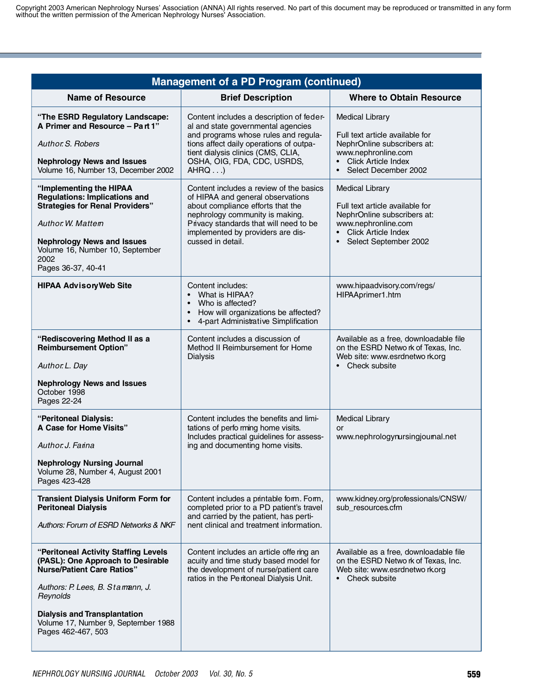| <b>Management of a PD Program (continued)</b>                                                                                                                                                                                                                      |                                                                                                                                                                                                                                                          |                                                                                                                                                                    |
|--------------------------------------------------------------------------------------------------------------------------------------------------------------------------------------------------------------------------------------------------------------------|----------------------------------------------------------------------------------------------------------------------------------------------------------------------------------------------------------------------------------------------------------|--------------------------------------------------------------------------------------------------------------------------------------------------------------------|
| <b>Name of Resource</b>                                                                                                                                                                                                                                            | <b>Brief Description</b>                                                                                                                                                                                                                                 | <b>Where to Obtain Resource</b>                                                                                                                                    |
| "The ESRD Regulatory Landscape:<br>A Primer and Resource - Part 1"<br>Author. S. Robers<br><b>Nephrology News and Issues</b><br>Volume 16, Number 13, December 2002                                                                                                | Content includes a description of feder-<br>al and state governmental agencies<br>and programs whose rules and regula-<br>tions affect daily operations of outpa-<br>tient dialysis clinics (CMS, CLIA,<br>OSHA, OIG, FDA, CDC, USRDS,<br>AHRQ           | <b>Medical Library</b><br>Full text article available for<br>NephrOnline subscribers at:<br>www.nephronline.com<br>• Click Article Index<br>• Select December 2002 |
| "Implementing the HIPAA<br><b>Regulations: Implications and</b><br><b>Strategies for Renal Providers"</b><br>Author. W. Mattem<br><b>Nephrology News and Issues</b><br>Volume 16, Number 10, September<br>2002<br>Pages 36-37, 40-41                               | Content includes a review of the basics<br>of HIPAA and general observations<br>about compliance efforts that the<br>nephrology community is making.<br>Privacy standards that will need to be<br>implemented by providers are dis-<br>cussed in detail. | <b>Medical Library</b><br>Full text article available for<br>NephrOnline subscribers at:<br>www.nephronline.com<br>• Click Article Index<br>Select September 2002  |
| <b>HIPAA AdvisoryWeb Site</b>                                                                                                                                                                                                                                      | Content includes:<br>What is HIPAA?<br>Who is affected?<br>How will organizations be affected?<br>$\bullet$<br>4-part Administrative Simplification                                                                                                      | www.hipaadvisory.com/regs/<br>HIPAAprimer1.htm                                                                                                                     |
| "Rediscovering Method II as a<br><b>Reimbursement Option"</b><br>Author. L. Day<br><b>Nephrology News and Issues</b><br>October 1998<br>Pages 22-24                                                                                                                | Content includes a discussion of<br>Method II Reimbursement for Home<br><b>Dialysis</b>                                                                                                                                                                  | Available as a free, downloadable file<br>on the ESRD Netwo rk of Texas, Inc.<br>Web site: www.esrdnetwo rk.org<br>• Check subsite                                 |
| "Peritoneal Dialysis:<br>A Case for Home Visits"<br>Author. J. Farina<br><b>Nephrology Nursing Journal</b><br>Volume 28, Number 4, August 2001<br>Pages 423-428                                                                                                    | Content includes the benefits and limi-<br>tations of perfo rming home visits.<br>Includes practical guidelines for assess-<br>ing and documenting home visits.                                                                                          | <b>Medical Library</b><br>or<br>www.nephrologynursingjournal.net                                                                                                   |
| <b>Transient Dialysis Uniform Form for</b><br><b>Peritoneal Dialysis</b><br>Authors: Forum of ESRD Networks & NKF                                                                                                                                                  | Content includes a printable form. Form,<br>completed prior to a PD patient's travel<br>and carried by the patient, has perti-<br>nent clinical and treatment information.                                                                               | www.kidney.org/professionals/CNSW/<br>sub resources.cfm                                                                                                            |
| "Peritoneal Activity Staffing Levels<br>(PASL): One Approach to Desirable<br><b>Nurse/Patient Care Ratios"</b><br>Authors: P. Lees, B. Stamann, J.<br>Reynolds<br><b>Dialysis and Transplantation</b><br>Volume 17, Number 9, September 1988<br>Pages 462-467, 503 | Content includes an article offe ring an<br>acuity and time study based model for<br>the development of nurse/patient care<br>ratios in the Peritoneal Dialysis Unit.                                                                                    | Available as a free, downloadable file<br>on the ESRD Netwo rk of Texas, Inc.<br>Web site: www.esrdnetwo rk.org<br>• Check subsite                                 |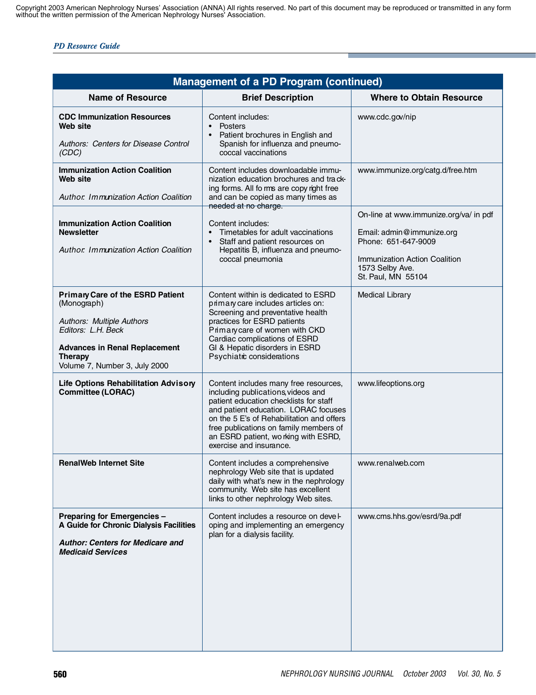| Management of a PD Program (continued)                                                                                                                                                                      |                                                                                                                                                                                                                                                                                                                         |                                                                                                                                                                      |  |  |
|-------------------------------------------------------------------------------------------------------------------------------------------------------------------------------------------------------------|-------------------------------------------------------------------------------------------------------------------------------------------------------------------------------------------------------------------------------------------------------------------------------------------------------------------------|----------------------------------------------------------------------------------------------------------------------------------------------------------------------|--|--|
| <b>Name of Resource</b>                                                                                                                                                                                     | <b>Brief Description</b>                                                                                                                                                                                                                                                                                                | <b>Where to Obtain Resource</b>                                                                                                                                      |  |  |
| <b>CDC Immunization Resources</b><br>Web site<br>Authors: Centers for Disease Control<br>(CDC)                                                                                                              | Content includes:<br>Posters<br>Patient brochures in English and<br>$\bullet$<br>Spanish for influenza and pneumo-<br>coccal vaccinations                                                                                                                                                                               | www.cdc.gov/nip                                                                                                                                                      |  |  |
| <b>Immunization Action Coalition</b><br>Web site<br>Author. Immunization Action Coalition                                                                                                                   | Content includes downloadable immu-<br>nization education brochures and track-<br>ing forms. All forms are copy right free<br>and can be copied as many times as<br>needed at no charge.                                                                                                                                | www.immunize.org/catg.d/free.htm                                                                                                                                     |  |  |
| <b>Immunization Action Coalition</b><br><b>Newsletter</b><br>Author. Immunization Action Coalition                                                                                                          | Content includes:<br>Timetables for adult vaccinations<br>Staff and patient resources on<br>$\bullet$<br>Hepatitis B, influenza and pneumo-<br>coccal pneumonia                                                                                                                                                         | On-line at www.immunize.org/va/ in pdf<br>Email: admin@immunize.org<br>Phone: 651-647-9009<br>Immunization Action Coalition<br>1573 Selby Ave.<br>St. Paul, MN 55104 |  |  |
| <b>Primary Care of the ESRD Patient</b><br>(Monograph)<br><b>Authors: Multiple Authors</b><br>Editors: L.H. Beck<br><b>Advances in Renal Replacement</b><br><b>Therapy</b><br>Volume 7, Number 3, July 2000 | Content within is dedicated to ESRD<br>primary care includes articles on:<br>Screening and preventative health<br>practices for ESRD patients<br>Primary care of women with CKD<br>Cardiac complications of ESRD<br>GI & Hepatic disorders in ESRD<br>Psychiatic considerations                                         | <b>Medical Library</b>                                                                                                                                               |  |  |
| <b>Life Options Rehabilitation Advisory</b><br><b>Committee (LORAC)</b>                                                                                                                                     | Content includes many free resources,<br>including publications, videos and<br>patient education checklists for staff<br>and patient education. LORAC focuses<br>on the 5 E's of Rehabilitation and offers<br>free publications on family members of<br>an ESRD patient, wo rking with ESRD,<br>exercise and insurance. | www.lifeoptions.org                                                                                                                                                  |  |  |
| <b>RenalWeb Internet Site</b>                                                                                                                                                                               | Content includes a comprehensive<br>nephrology Web site that is updated<br>daily with what's new in the nephrology<br>community. Web site has excellent<br>links to other nephrology Web sites.                                                                                                                         | www.renalweb.com                                                                                                                                                     |  |  |
| Preparing for Emergencies -<br>A Guide for Chronic Dialysis Facilities<br><b>Author: Centers for Medicare and</b><br><b>Medicaid Services</b>                                                               | Content includes a resource on devel-<br>oping and implementing an emergency<br>plan for a dialysis facility.                                                                                                                                                                                                           | www.cms.hhs.gov/esrd/9a.pdf                                                                                                                                          |  |  |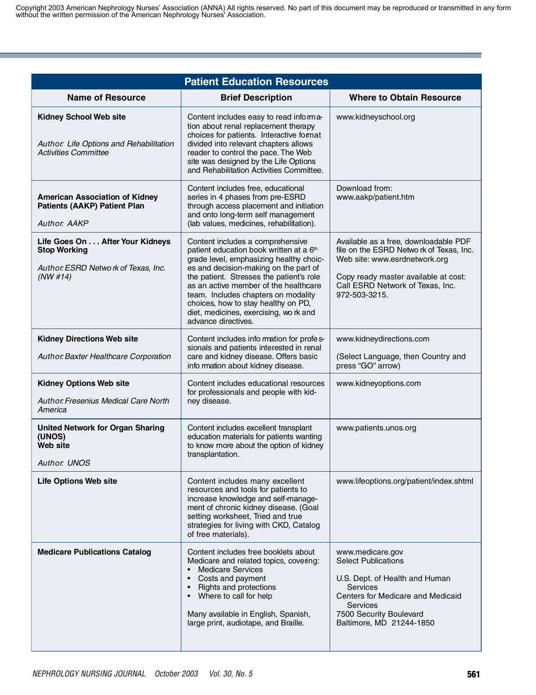| <b>Patient Education Resources</b>                                                                         |                                                                                                                                                                                                                                                                                                                                                                                                                 |                                                                                                                                                                                                                    |  |
|------------------------------------------------------------------------------------------------------------|-----------------------------------------------------------------------------------------------------------------------------------------------------------------------------------------------------------------------------------------------------------------------------------------------------------------------------------------------------------------------------------------------------------------|--------------------------------------------------------------------------------------------------------------------------------------------------------------------------------------------------------------------|--|
| <b>Name of Resource</b>                                                                                    | <b>Brief Description</b>                                                                                                                                                                                                                                                                                                                                                                                        | <b>Where to Obtain Resource</b>                                                                                                                                                                                    |  |
| <b>Kidney School Web site</b><br>Author. Life Options and Rehabilitation<br><b>Activities Committee</b>    | Content includes easy to read informa-<br>tion about renal replacement therapy<br>choices for patients. Interactive format<br>divided into relevant chapters allows<br>reader to control the pace. The Web<br>site was designed by the Life Options<br>and Rehabilitation Activities Committee.                                                                                                                 | www.kidneyschool.org                                                                                                                                                                                               |  |
| <b>American Association of Kidney</b><br><b>Patients (AAKP) Patient Plan</b><br><b>Author, AAKP</b>        | Content includes free, educational<br>series in 4 phases from pre-ESRD<br>through access placement and initiation<br>and onto long-term self management<br>(lab values, medicines, rehabilitation).                                                                                                                                                                                                             | Download from:<br>www.aakp/patient.htm                                                                                                                                                                             |  |
| Life Goes On After Your Kidneys<br><b>Stop Working</b><br>Author. ESRD Netwo rk of Texas, Inc.<br>(NW #14) | Content includes a comprehensive<br>patient education book written at a 6 <sup>th</sup><br>grade level, emphasizing healthy choic-<br>es and decision-making on the part of<br>the patient. Stresses the patient's role<br>as an active member of the healthcare<br>team. Includes chapters on modality<br>choices, how to stay healthy on PD,<br>diet, medicines, exercising, wo rk and<br>advance directives. | Available as a free, downloadable PDF<br>file on the ESRD Netwo rk of Texas, Inc.<br>Web site: www.esrdnetwork.org<br>Copy ready master available at cost:<br>Call ESRD Network of Texas, Inc.<br>972-503-3215.    |  |
| <b>Kidney Directions Web site</b><br>Author. Baxter Healthcare Corporation                                 | Content includes info rmation for profes-<br>sionals and patients interested in renal<br>care and kidney disease. Offers basic<br>info rmation about kidney disease.                                                                                                                                                                                                                                            | www.kidneydirections.com<br>(Select Language, then Country and<br>press "GO" arrow)                                                                                                                                |  |
| <b>Kidney Options Web site</b><br><b>Author: Fresenius Medical Care North</b><br>America                   | Content includes educational resources<br>for professionals and people with kid-<br>ney disease.                                                                                                                                                                                                                                                                                                                | www.kidneyoptions.com                                                                                                                                                                                              |  |
| <b>United Network for Organ Sharing</b><br>(UNOS)<br>Web site<br><b>Author: UNOS</b>                       | Content includes excellent transplant<br>education materials for patients wanting<br>to know more about the option of kidney<br>transplantation.                                                                                                                                                                                                                                                                | www.patients.unos.org                                                                                                                                                                                              |  |
| <b>Life Options Web site</b>                                                                               | Content includes many excellent<br>resources and tools for patients to<br>increase knowledge and self-manage-<br>ment of chronic kidney disease. (Goal<br>setting worksheet, Tried and true<br>strategies for living with CKD, Catalog<br>of free materials).                                                                                                                                                   | www.lifeoptions.org/patient/index.shtml                                                                                                                                                                            |  |
| <b>Medicare Publications Catalog</b>                                                                       | Content includes free booklets about<br>Medicare and related topics, covering:<br><b>Medicare Services</b><br>Costs and payment<br>Rights and protections<br>Where to call for help<br>Many available in English, Spanish,<br>large print, audiotape, and Braille.                                                                                                                                              | www.medicare.gov<br><b>Select Publications</b><br>U.S. Dept. of Health and Human<br><b>Services</b><br>Centers for Medicare and Medicaid<br><b>Services</b><br>7500 Security Boulevard<br>Baltimore, MD 21244-1850 |  |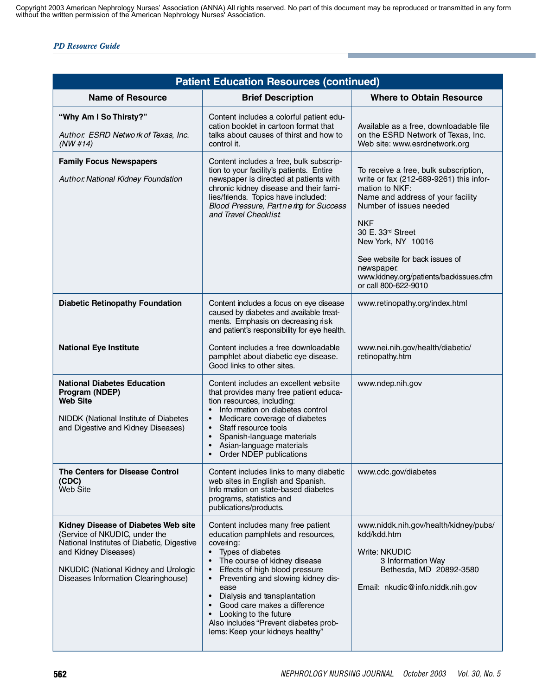| <b>Patient Education Resources (continued)</b>                                                                                                                                                                            |                                                                                                                                                                                                                                                                                                                                                                                                                                                      |                                                                                                                                                                                                                                                                                                                                               |  |
|---------------------------------------------------------------------------------------------------------------------------------------------------------------------------------------------------------------------------|------------------------------------------------------------------------------------------------------------------------------------------------------------------------------------------------------------------------------------------------------------------------------------------------------------------------------------------------------------------------------------------------------------------------------------------------------|-----------------------------------------------------------------------------------------------------------------------------------------------------------------------------------------------------------------------------------------------------------------------------------------------------------------------------------------------|--|
| <b>Name of Resource</b>                                                                                                                                                                                                   | <b>Brief Description</b>                                                                                                                                                                                                                                                                                                                                                                                                                             | <b>Where to Obtain Resource</b>                                                                                                                                                                                                                                                                                                               |  |
| "Why Am I So Thirsty?"<br>Author. ESRD Network of Texas, Inc.<br>(NW #14)                                                                                                                                                 | Content includes a colorful patient edu-<br>cation booklet in cartoon format that<br>talks about causes of thirst and how to<br>control it.                                                                                                                                                                                                                                                                                                          | Available as a free, downloadable file<br>on the ESRD Network of Texas, Inc.<br>Web site: www.esrdnetwork.org                                                                                                                                                                                                                                 |  |
| <b>Family Focus Newspapers</b><br>Author National Kidney Foundation                                                                                                                                                       | Content includes a free, bulk subscrip-<br>tion to your facility's patients. Entire<br>newspaper is directed at patients with<br>chronic kidney disease and their fami-<br>lies/friends. Topics have included:<br>Blood Pressure, Partnering for Success<br>and Travel Checklist                                                                                                                                                                     | To receive a free, bulk subscription,<br>write or fax (212-689-9261) this infor-<br>mation to NKF:<br>Name and address of your facility<br>Number of issues needed<br><b>NKF</b><br>30 E. 33rd Street<br>New York, NY 10016<br>See website for back issues of<br>newspaper.<br>www.kidney.org/patients/backissues.cfm<br>or call 800-622-9010 |  |
| <b>Diabetic Retinopathy Foundation</b>                                                                                                                                                                                    | Content includes a focus on eye disease<br>caused by diabetes and available treat-<br>ments. Emphasis on decreasing risk<br>and patient's responsibility for eye health.                                                                                                                                                                                                                                                                             | www.retinopathy.org/index.html                                                                                                                                                                                                                                                                                                                |  |
| <b>National Eye Institute</b>                                                                                                                                                                                             | Content includes a free downloadable<br>pamphlet about diabetic eye disease.<br>Good links to other sites.                                                                                                                                                                                                                                                                                                                                           | www.nei.nih.gov/health/diabetic/<br>retinopathy.htm                                                                                                                                                                                                                                                                                           |  |
| <b>National Diabetes Education</b><br>Program (NDEP)<br><b>Web Site</b><br>NIDDK (National Institute of Diabetes<br>and Digestive and Kidney Diseases)                                                                    | Content includes an excellent website<br>that provides many free patient educa-<br>tion resources, including:<br>Info rmation on diabetes control<br>Medicare coverage of diabetes<br>$\bullet$<br>Staff resource tools<br>$\bullet$<br>Spanish-language materials<br>$\bullet$<br>Asian-language materials<br>$\bullet$<br>Order NDEP publications<br>٠                                                                                             | www.ndep.nih.gov                                                                                                                                                                                                                                                                                                                              |  |
| The Centers for Disease Control<br>(CDC)<br><b>Web Site</b>                                                                                                                                                               | Content includes links to many diabetic<br>web sites in English and Spanish.<br>Info rmation on state-based diabetes<br>programs, statistics and<br>publications/products.                                                                                                                                                                                                                                                                           | www.cdc.gov/diabetes                                                                                                                                                                                                                                                                                                                          |  |
| Kidney Disease of Diabetes Web site<br>(Service of NKUDIC, under the<br>National Institutes of Diabetic, Digestive<br>and Kidney Diseases)<br>NKUDIC (National Kidney and Urologic<br>Diseases Information Clearinghouse) | Content includes many free patient<br>education pamphlets and resources,<br>covering:<br>Types of diabetes<br>The course of kidney disease<br>Effects of high blood pressure<br>$\bullet$<br>Preventing and slowing kidney dis-<br>$\bullet$<br>ease<br>Dialysis and transplantation<br>$\bullet$<br>Good care makes a difference<br>Looking to the future<br>$\bullet$<br>Also includes "Prevent diabetes prob-<br>lems: Keep your kidneys healthy" | www.niddk.nih.gov/health/kidney/pubs/<br>kdd/kdd.htm<br><b>Write: NKUDIC</b><br>3 Information Way<br>Bethesda, MD 20892-3580<br>Email: nkudic@info.niddk.nih.gov                                                                                                                                                                              |  |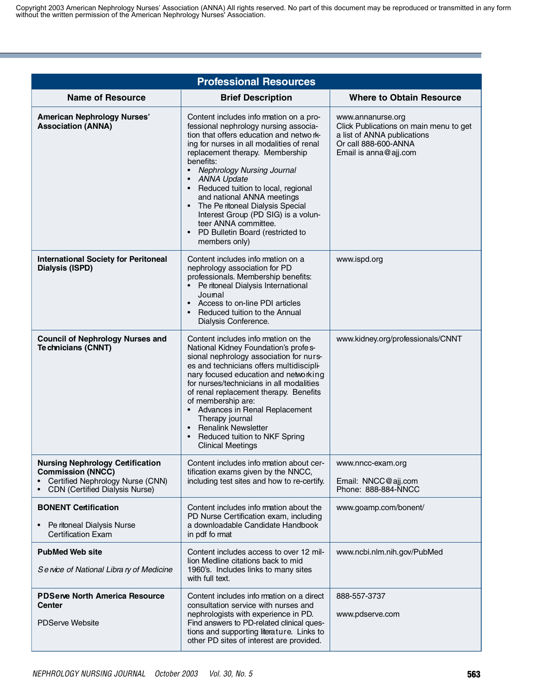| <b>Professional Resources</b>                                                                                                                    |                                                                                                                                                                                                                                                                                                                                                                                                                                                                                                                                                |                                                                                                                                             |  |  |
|--------------------------------------------------------------------------------------------------------------------------------------------------|------------------------------------------------------------------------------------------------------------------------------------------------------------------------------------------------------------------------------------------------------------------------------------------------------------------------------------------------------------------------------------------------------------------------------------------------------------------------------------------------------------------------------------------------|---------------------------------------------------------------------------------------------------------------------------------------------|--|--|
| <b>Name of Resource</b>                                                                                                                          | <b>Brief Description</b>                                                                                                                                                                                                                                                                                                                                                                                                                                                                                                                       | <b>Where to Obtain Resource</b>                                                                                                             |  |  |
| <b>American Nephrology Nurses'</b><br><b>Association (ANNA)</b>                                                                                  | Content includes info rmation on a pro-<br>fessional nephrology nursing associa-<br>tion that offers education and netwo rk-<br>ing for nurses in all modalities of renal<br>replacement therapy. Membership<br>benefits:<br><b>Nephrology Nursing Journal</b><br>$\bullet$<br><b>ANNA Update</b><br>• Reduced tuition to local, regional<br>and national ANNA meetings<br>• The Pe ritoneal Dialysis Special<br>Interest Group (PD SIG) is a volun-<br>teer ANNA committee.<br>PD Bulletin Board (restricted to<br>$\bullet$<br>members only) | www.annanurse.org<br>Click Publications on main menu to get<br>a list of ANNA publications<br>Or call 888-600-ANNA<br>Email is anna@ajj.com |  |  |
| <b>International Society for Peritoneal</b><br><b>Dialysis (ISPD)</b>                                                                            | Content includes info rmation on a<br>nephrology association for PD<br>professionals. Membership benefits:<br>• Pe ritoneal Dialysis International<br>Joumal<br>• Access to on-line PDI articles<br>Reduced tuition to the Annual<br>$\bullet$<br>Dialysis Conference.                                                                                                                                                                                                                                                                         | www.ispd.org                                                                                                                                |  |  |
| <b>Council of Nephrology Nurses and</b><br>Te chnicians (CNNT)                                                                                   | Content includes info mation on the<br>National Kidney Foundation's profes-<br>sional nephrology association for nurs-<br>es and technicians offers multidiscipli-<br>nary focused education and networking<br>for nurses/technicians in all modalities<br>of renal replacement therapy. Benefits<br>of membership are:<br>• Advances in Renal Replacement<br>Therapy journal<br>• Renalink Newsletter<br>Reduced tuition to NKF Spring<br>$\bullet$<br><b>Clinical Meetings</b>                                                               | www.kidney.org/professionals/CNNT                                                                                                           |  |  |
| <b>Nursing Nephrology Certification</b><br><b>Commission (NNCC)</b><br>Certified Nephrology Nurse (CNN)<br><b>CDN</b> (Certified Dialysis Nurse) | Content includes info rmation about cer-<br>tification exams given by the NNCC,<br>including test sites and how to re-certify.                                                                                                                                                                                                                                                                                                                                                                                                                 | www.nncc-exam.org<br>Email: NNCC@ajj.com<br>Phone: 888-884-NNCC                                                                             |  |  |
| <b>BONENT Certification</b><br>Pe ritoneal Dialysis Nurse<br><b>Certification Exam</b>                                                           | Content includes info rmation about the<br>PD Nurse Certification exam, including<br>a downloadable Candidate Handbook<br>in pdf fo rmat                                                                                                                                                                                                                                                                                                                                                                                                       | www.goamp.com/bonent/                                                                                                                       |  |  |
| <b>PubMed Web site</b><br>Se rvice of National Libra ry of Medicine                                                                              | Content includes access to over 12 mil-<br>lion Medline citations back to mid<br>1960's. Includes links to many sites<br>with full text.                                                                                                                                                                                                                                                                                                                                                                                                       | www.ncbi.nlm.nih.gov/PubMed                                                                                                                 |  |  |
| <b>PDServe North America Resource</b><br><b>Center</b><br><b>PDServe Website</b>                                                                 | Content includes info mation on a direct<br>consultation service with nurses and<br>nephrologists with experience in PD.<br>Find answers to PD-related clinical ques-<br>tions and supporting literature. Links to<br>other PD sites of interest are provided.                                                                                                                                                                                                                                                                                 | 888-557-3737<br>www.pdserve.com                                                                                                             |  |  |